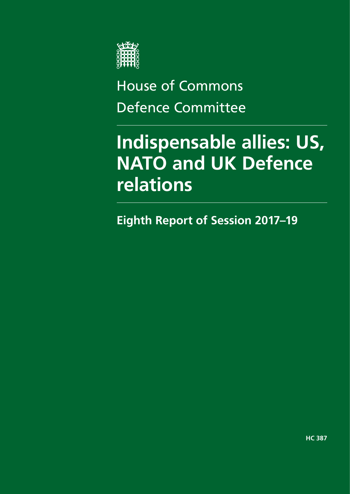

# House of Commons Defence Committee

# **Indispensable allies: US, NATO and UK Defence relations**

**Eighth Report of Session 2017–19**

**HC 387**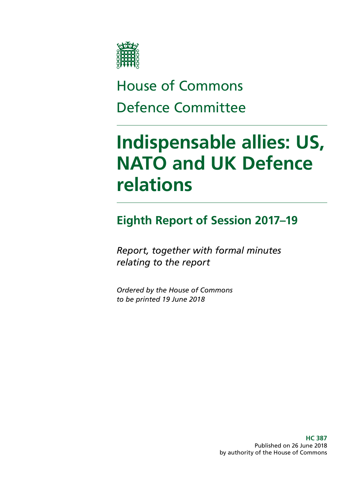

# House of Commons Defence Committee

# **Indispensable allies: US, NATO and UK Defence relations**

## **Eighth Report of Session 2017–19**

*Report, together with formal minutes relating to the report*

*Ordered by the House of Commons to be printed 19 June 2018*

> **HC 387** Published on 26 June 2018 by authority of the House of Commons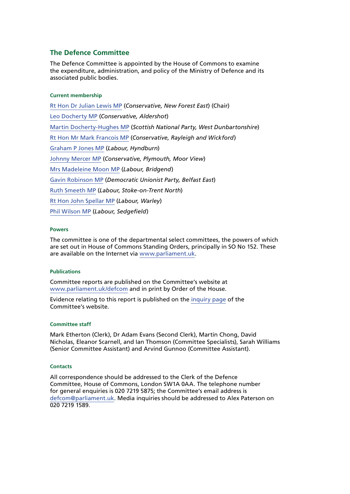#### **The Defence Committee**

The Defence Committee is appointed by the House of Commons to examine the expenditure, administration, and policy of the Ministry of Defence and its associated public bodies.

#### **Current membership**

[Rt Hon Dr Julian Lewis MP](https://www.parliament.uk/biographies/commons/dr-julian-lewis/54) (*Conservative, New Forest East*) (Chair) [Leo Docherty MP](https://www.parliament.uk/biographies/commons/leo-docherty/4600) (*Conservative, Aldershot*) [Martin Docherty-Hughes MP](https://www.parliament.uk/biographies/commons/martin-docherty-hughes/4374) (*Scottish National Party, West Dunbartonshire*) [Rt Hon Mr Mark Francois MP](https://www.parliament.uk/biographies/commons/mr-mark-francois/1444) (*Conservative, Rayleigh and Wickford*) [Graham P Jones MP](https://www.parliament.uk/biographies/commons/graham-p-jones/3999) (*Labour, Hyndburn*) [Johnny Mercer MP](https://www.parliament.uk/biographies/commons/johnny-mercer/4485) (*Conservative, Plymouth, Moor View*) [Mrs Madeleine Moon MP](https://www.parliament.uk/biographies/commons/mrs-madeleine-moon/1490) (*Labour, Bridgend*) [Gavin Robinson MP](https://www.parliament.uk/biographies/commons/gavin-robinson/4360) (*Democratic Unionist Party, Belfast East*) [Ruth Smeeth MP](https://www.parliament.uk/biographies/commons/ruth-smeeth/4508) (*Labour, Stoke-on-Trent North*) [Rt Hon John Spellar MP](https://www.parliament.uk/biographies/commons/john-spellar/318) (*Labour, Warley*) [Phil Wilson MP](https://www.parliament.uk/biographies/commons/phil-wilson/1603) (*Labour, Sedgefield*)

#### **Powers**

The committee is one of the departmental select committees, the powers of which are set out in House of Commons Standing Orders, principally in SO No 152. These are available on the Internet via [www.parliament.uk.](http://www.parliament.uk)

#### **Publications**

Committee reports are published on the Committee's website at [www.parliament.uk/defcom](http://www.parliament.uk/defcom) and in print by Order of the House.

Evidence relating to this report is published on the [inquiry page](https://www.parliament.uk/business/committees/committees-a-z/commons-select/defence-committee/inquiries/parliament-2017/us-nato-and-uk-defence-relations-17-19/) of the Committee's website.

#### **Committee staff**

Mark Etherton (Clerk), Dr Adam Evans (Second Clerk), Martin Chong, David Nicholas, Eleanor Scarnell, and Ian Thomson (Committee Specialists), Sarah Williams (Senior Committee Assistant) and Arvind Gunnoo (Committee Assistant).

#### **Contacts**

All correspondence should be addressed to the Clerk of the Defence Committee, House of Commons, London SW1A 0AA. The telephone number for general enquiries is 020 7219 5875; the Committee's email address is [defcom@parliament.uk](mailto:defcom%40parliament.uk?subject=). Media inquiries should be addressed to Alex Paterson on 020 7219 1589.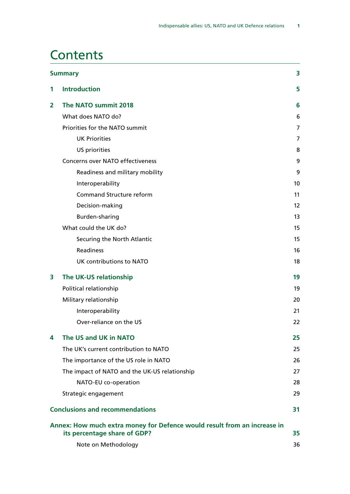### **Contents**

|                | <b>Summary</b>                                                                                           | 3                 |
|----------------|----------------------------------------------------------------------------------------------------------|-------------------|
| 1              | <b>Introduction</b>                                                                                      | 5                 |
| $\overline{2}$ | The NATO summit 2018                                                                                     | 6                 |
|                | What does NATO do?                                                                                       | 6                 |
|                | Priorities for the NATO summit                                                                           | 7                 |
|                | <b>UK Priorities</b>                                                                                     | 7                 |
|                | US priorities                                                                                            | 8                 |
|                | <b>Concerns over NATO effectiveness</b>                                                                  | 9                 |
|                | Readiness and military mobility                                                                          | 9                 |
|                | Interoperability                                                                                         | 10                |
|                | <b>Command Structure reform</b>                                                                          | 11                |
|                | Decision-making                                                                                          | $12 \overline{ }$ |
|                | Burden-sharing                                                                                           | 13                |
|                | What could the UK do?                                                                                    | 15                |
|                | Securing the North Atlantic                                                                              | 15                |
|                | <b>Readiness</b>                                                                                         | 16                |
|                | UK contributions to NATO                                                                                 | 18                |
| 3              | The UK-US relationship                                                                                   | 19                |
|                | Political relationship                                                                                   | 19                |
|                | Military relationship                                                                                    | 20                |
|                | Interoperability                                                                                         | 21                |
|                | Over-reliance on the US                                                                                  | 22                |
| 4              | The US and UK in NATO                                                                                    | 25                |
|                | The UK's current contribution to NATO                                                                    | 25                |
|                | The importance of the US role in NATO                                                                    | 26                |
|                | The impact of NATO and the UK-US relationship                                                            | 27                |
|                | NATO-EU co-operation                                                                                     | 28                |
|                | Strategic engagement                                                                                     | 29                |
|                | <b>Conclusions and recommendations</b>                                                                   | 31                |
|                | Annex: How much extra money for Defence would result from an increase in<br>its percentage share of GDP? | 35                |
|                | Note on Methodology                                                                                      | 36                |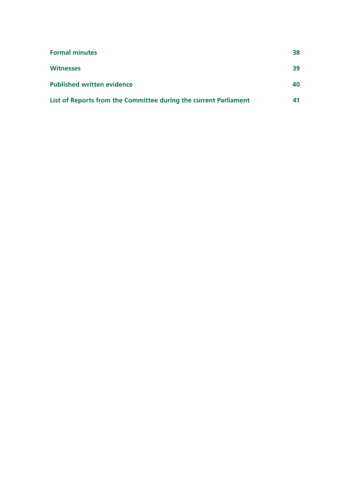| <b>Formal minutes</b>                                            | 38  |
|------------------------------------------------------------------|-----|
| <b>Witnesses</b>                                                 | 39  |
| <b>Published written evidence</b>                                | 40. |
| List of Reports from the Committee during the current Parliament | 41  |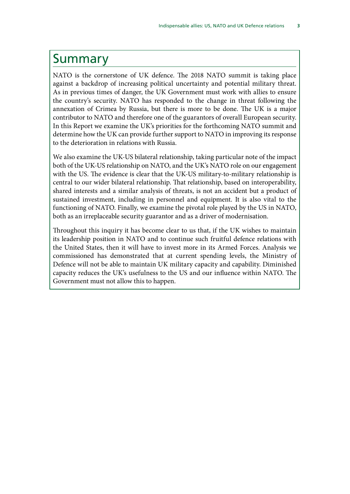### <span id="page-6-0"></span>Summary

NATO is the cornerstone of UK defence. The 2018 NATO summit is taking place against a backdrop of increasing political uncertainty and potential military threat. As in previous times of danger, the UK Government must work with allies to ensure the country's security. NATO has responded to the change in threat following the annexation of Crimea by Russia, but there is more to be done. The UK is a major contributor to NATO and therefore one of the guarantors of overall European security. In this Report we examine the UK's priorities for the forthcoming NATO summit and determine how the UK can provide further support to NATO in improving its response to the deterioration in relations with Russia.

We also examine the UK-US bilateral relationship, taking particular note of the impact both of the UK-US relationship on NATO, and the UK's NATO role on our engagement with the US. The evidence is clear that the UK-US military-to-military relationship is central to our wider bilateral relationship. That relationship, based on interoperability, shared interests and a similar analysis of threats, is not an accident but a product of sustained investment, including in personnel and equipment. It is also vital to the functioning of NATO. Finally, we examine the pivotal role played by the US in NATO, both as an irreplaceable security guarantor and as a driver of modernisation.

Throughout this inquiry it has become clear to us that, if the UK wishes to maintain its leadership position in NATO and to continue such fruitful defence relations with the United States, then it will have to invest more in its Armed Forces. Analysis we commissioned has demonstrated that at current spending levels, the Ministry of Defence will not be able to maintain UK military capacity and capability. Diminished capacity reduces the UK's usefulness to the US and our influence within NATO. The Government must not allow this to happen.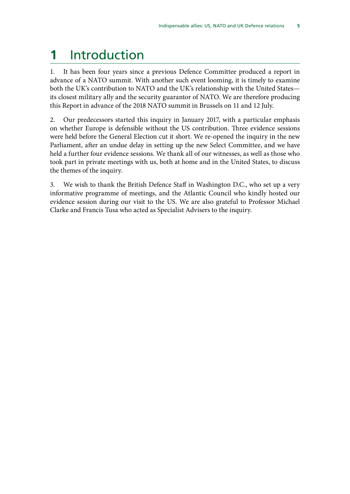# <span id="page-8-0"></span>**1** Introduction

1. It has been four years since a previous Defence Committee produced a report in advance of a NATO summit. With another such event looming, it is timely to examine both the UK's contribution to NATO and the UK's relationship with the United States its closest military ally and the security guarantor of NATO. We are therefore producing this Report in advance of the 2018 NATO summit in Brussels on 11 and 12 July.

2. Our predecessors started this inquiry in January 2017, with a particular emphasis on whether Europe is defensible without the US contribution. Three evidence sessions were held before the General Election cut it short. We re-opened the inquiry in the new Parliament, after an undue delay in setting up the new Select Committee, and we have held a further four evidence sessions. We thank all of our witnesses, as well as those who took part in private meetings with us, both at home and in the United States, to discuss the themes of the inquiry.

3. We wish to thank the British Defence Staff in Washington D.C., who set up a very informative programme of meetings, and the Atlantic Council who kindly hosted our evidence session during our visit to the US. We are also grateful to Professor Michael Clarke and Francis Tusa who acted as Specialist Advisers to the inquiry.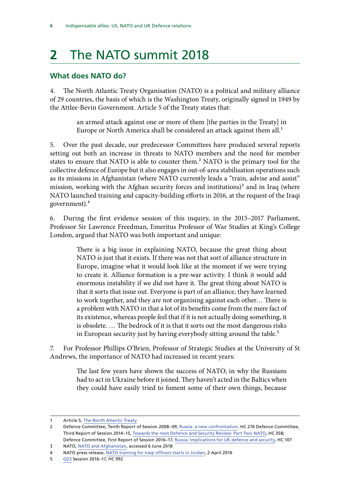# <span id="page-9-0"></span>**2** The NATO summit 2018

#### **What does NATO do?**

4. The North Atlantic Treaty Organisation (NATO) is a political and military alliance of 29 countries, the basis of which is the Washington Treaty, originally signed in 1949 by the Attlee-Bevin Government. Article 5 of the Treaty states that:

> an armed attack against one or more of them [the parties in the Treaty] in Europe or North America shall be considered an attack against them all.<sup>1</sup>

5. Over the past decade, our predecessor Committees have produced several reports setting out both an increase in threats to NATO members and the need for member states to ensure that NATO is able to counter them.<sup>2</sup> NATO is the primary tool for the collective defence of Europe but it also engages in out-of-area stabilisation operations such as its missions in Afghanistan (where NATO currently leads a "train, advise and assist" mission, working with the Afghan security forces and institutions)<sup>3</sup> and in Iraq (where NATO launched training and capacity-building efforts in 2016, at the request of the Iraqi government).4

6. During the first evidence session of this inquiry, in the 2015–2017 Parliament, Professor Sir Lawrence Freedman, Emeritus Professor of War Studies at King's College London, argued that NATO was both important and unique:

> There is a big issue in explaining NATO, because the great thing about NATO is just that it exists. If there was not that sort of alliance structure in Europe, imagine what it would look like at the moment if we were trying to create it. Alliance formation is a pre-war activity. I think it would add enormous instability if we did not have it. The great thing about NATO is that it sorts that issue out. Everyone is part of an alliance, they have learned to work together, and they are not organising against each other… There is a problem with NATO in that a lot of its benefits come from the mere fact of its existence, whereas people feel that if it is not actually doing something, it is obsolete. … The bedrock of it is that it sorts out the most dangerous risks in European security just by having everybody sitting around the table.<sup>5</sup>

7. For Professor Phillips O'Brien, Professor of Strategic Studies at the University of St Andrews, the importance of NATO had increased in recent years:

> The last few years have shown the success of NATO, in why the Russians had to act in Ukraine before it joined. They haven't acted in the Baltics when they could have easily tried to foment some of their own things, because

5 [Q23](http://data.parliament.uk/writtenevidence/committeeevidence.svc/evidencedocument/defence-committee/the-indispensable-ally-us-nato-and-uk-defence-relations/oral/48824.html) Session 2016–17, HC 992

<sup>1</sup> Article 5, [The North Atlantic Treaty](https://www.nato.int/cps/en/natolive/official_texts_17120.htm)

<sup>2</sup> Defence Committee, Tenth Report of Session 2008–09, [Russia: a new confrontation.](https://publications.parliament.uk/pa/cm200809/cmselect/cmdfence/276/27602.htm) HC 276 Defence Committee, Third Report of Session 2014–15, [Towards the next Defence and Security Review: Part Two-NATO,](https://publications.parliament.uk/pa/cm201415/cmselect/cmdfence/358/35802.htm) HC 358; Defence Committee, First Report of Session 2016–17, [Russia: Implications for UK defence and security,](https://publications.parliament.uk/pa/cm201617/cmselect/cmdfence/107/10702.htm) HC 107

<sup>3</sup> NATO, [NATO and Afghanistan](https://www.nato.int/cps/en/natohq/topics_8189.htm), accessed 6 June 2018

<sup>4</sup> NATO press release, [NATO training for Iraqi officers starts in Jordan,](https://www.nato.int/cps/en/natohq/news_129666.htm?selectedLocale=en) 2 April 2016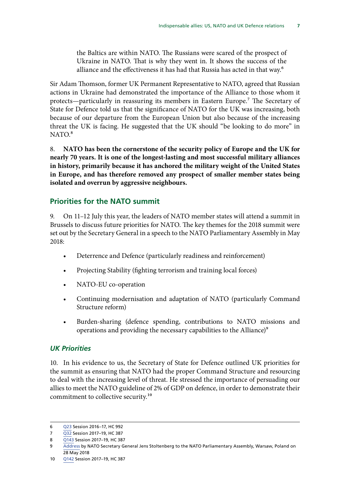<span id="page-10-0"></span>the Baltics are within NATO. The Russians were scared of the prospect of Ukraine in NATO. That is why they went in. It shows the success of the alliance and the effectiveness it has had that Russia has acted in that way.6

Sir Adam Thomson, former UK Permanent Representative to NATO, agreed that Russian actions in Ukraine had demonstrated the importance of the Alliance to those whom it protects—particularly in reassuring its members in Eastern Europe.7 The Secretary of State for Defence told us that the significance of NATO for the UK was increasing, both because of our departure from the European Union but also because of the increasing threat the UK is facing. He suggested that the UK should "be looking to do more" in  $NATO.<sup>8</sup>$ 

8. **NATO has been the cornerstone of the security policy of Europe and the UK for nearly 70 years. It is one of the longest-lasting and most successful military alliances in history, primarily because it has anchored the military weight of the United States in Europe, and has therefore removed any prospect of smaller member states being isolated and overrun by aggressive neighbours.**

#### **Priorities for the NATO summit**

9. On 11–12 July this year, the leaders of NATO member states will attend a summit in Brussels to discuss future priorities for NATO. The key themes for the 2018 summit were set out by the Secretary General in a speech to the NATO Parliamentary Assembly in May 2018:

- Deterrence and Defence (particularly readiness and reinforcement)
- Projecting Stability (fighting terrorism and training local forces)
- NATO-EU co-operation
- Continuing modernisation and adaptation of NATO (particularly Command Structure reform)
- Burden-sharing (defence spending, contributions to NATO missions and operations and providing the necessary capabilities to the Alliance)<sup>9</sup>

#### *UK Priorities*

10. In his evidence to us, the Secretary of State for Defence outlined UK priorities for the summit as ensuring that NATO had the proper Command Structure and resourcing to deal with the increasing level of threat. He stressed the importance of persuading our allies to meet the NATO guideline of 2% of GDP on defence, in order to demonstrate their commitment to collective security.10

<sup>6</sup> [Q23](http://data.parliament.uk/writtenevidence/committeeevidence.svc/evidencedocument/defence-committee/the-indispensable-ally-us-nato-and-uk-defence-relations/oral/48824.html) Session 2016–17, HC 992

<sup>7</sup> [Q32](http://data.parliament.uk/writtenevidence/committeeevidence.svc/evidencedocument/defence-committee/the-indispensable-ally-us-nato-and-uk-defence-relations/oral/72419.html) Session 2017–19, HC 387

<sup>8</sup> [Q143](http://data.parliament.uk/writtenevidence/committeeevidence.svc/evidencedocument/defence-committee/the-indispensable-ally-us-nato-and-uk-defence-relations/oral/83311.html) Session 2017-19, HC 387

<sup>9</sup> [Address](https://www.nato.int/cps/en/natohq/news_154895.htm) by NATO Secretary General Jens Stoltenberg to the NATO Parliamentary Assembly, Warsaw, Poland on 28 May 2018

<sup>10</sup> [Q142](http://data.parliament.uk/writtenevidence/committeeevidence.svc/evidencedocument/defence-committee/the-indispensable-ally-us-nato-and-uk-defence-relations/oral/83311.html) Session 2017–19, HC 387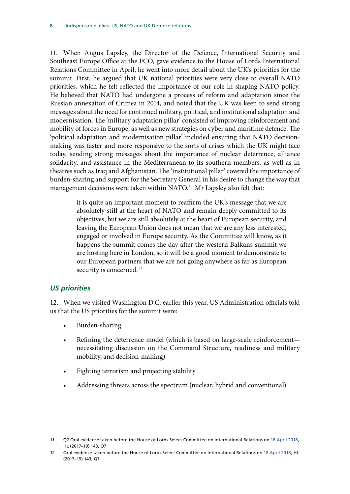<span id="page-11-0"></span>11. When Angus Lapsley, the Director of the Defence, International Security and Southeast Europe Office at the FCO, gave evidence to the House of Lords International Relations Committee in April, he went into more detail about the UK's priorities for the summit. First, he argued that UK national priorities were very close to overall NATO priorities, which he felt reflected the importance of our role in shaping NATO policy. He believed that NATO had undergone a process of reform and adaptation since the Russian annexation of Crimea in 2014, and noted that the UK was keen to send strong messages about the need for continued military, political, and institutional adaptation and modernisation. The 'military adaptation pillar' consisted of improving reinforcement and mobility of forces in Europe, as well as new strategies on cyber and maritime defence. The 'political adaptation and modernisation pillar' included ensuring that NATO decisionmaking was faster and more responsive to the sorts of crises which the UK might face today, sending strong messages about the importance of nuclear deterrence, alliance solidarity, and assistance in the Mediterranean to its southern members, as well as in theatres such as Iraq and Afghanistan. The 'institutional pillar' covered the importance of burden-sharing and support for the Secretary General in his desire to change the way that management decisions were taken within NATO.<sup>11</sup> Mr Lapsley also felt that:

> it is quite an important moment to reaffirm the UK's message that we are absolutely still at the heart of NATO and remain deeply committed to its objectives, but we are still absolutely at the heart of European security, and leaving the European Union does not mean that we are any less interested, engaged or involved in Europe security. As the Committee will know, as it happens the summit comes the day after the western Balkans summit we are hosting here in London, so it will be a good moment to demonstrate to our European partners that we are not going anywhere as far as European security is concerned.<sup>12</sup>

#### *US priorities*

12. When we visited Washington D.C. earlier this year, US Administration officials told us that the US priorities for the summit were:

- Burden-sharing
- Refining the deterrence model (which is based on large-scale reinforcement necessitating discussion on the Command Structure, readiness and military mobility, and decision-making)
- Fighting terrorism and projecting stability
- Addressing threats across the spectrum (nuclear, hybrid and conventional)

<sup>11</sup> Q7 Oral evidence taken before the House of Lords Select Committee on International Relations on [18 April 2018](https://www.parliament.uk/documents/lords-committees/International-Relations-Committee/One-off-NATO/Corrected%20Transcript%20NATO.pdf), HL (2017–19) 143, Q7

<sup>12</sup> Oral evidence taken before the House of Lords Select Committee on International Relations on [18 April 2018](https://www.parliament.uk/documents/lords-committees/International-Relations-Committee/One-off-NATO/Corrected%20Transcript%20NATO.pdf), HL (2017–19) 143, Q7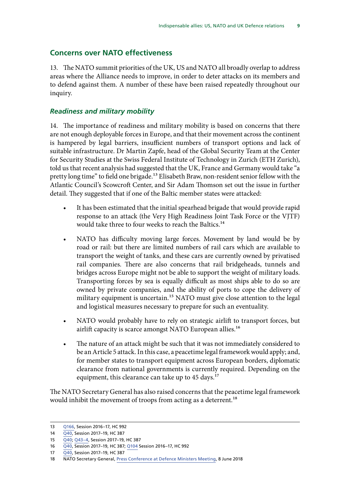#### <span id="page-12-0"></span>**Concerns over NATO effectiveness**

13. The NATO summit priorities of the UK, US and NATO all broadly overlap to address areas where the Alliance needs to improve, in order to deter attacks on its members and to defend against them. A number of these have been raised repeatedly throughout our inquiry.

#### *Readiness and military mobility*

14. The importance of readiness and military mobility is based on concerns that there are not enough deployable forces in Europe, and that their movement across the continent is hampered by legal barriers, insufficient numbers of transport options and lack of suitable infrastructure. Dr Martin Zapfe, head of the Global Security Team at the Center for Security Studies at the Swiss Federal Institute of Technology in Zurich (ETH Zurich), told us that recent analysis had suggested that the UK, France and Germany would take "a pretty long time" to field one brigade.<sup>13</sup> Elisabeth Braw, non-resident senior fellow with the Atlantic Council's Scowcroft Center, and Sir Adam Thomson set out the issue in further detail. They suggested that if one of the Baltic member states were attacked:

- It has been estimated that the initial spearhead brigade that would provide rapid response to an attack (the Very High Readiness Joint Task Force or the VJTF) would take three to four weeks to reach the Baltics.<sup>14</sup>
- NATO has difficulty moving large forces. Movement by land would be by road or rail: but there are limited numbers of rail cars which are available to transport the weight of tanks, and these cars are currently owned by privatised rail companies. There are also concerns that rail bridgeheads, tunnels and bridges across Europe might not be able to support the weight of military loads. Transporting forces by sea is equally difficult as most ships able to do so are owned by private companies, and the ability of ports to cope the delivery of military equipment is uncertain.<sup>15</sup> NATO must give close attention to the legal and logistical measures necessary to prepare for such an eventuality.
- NATO would probably have to rely on strategic airlift to transport forces, but airlift capacity is scarce amongst NATO European allies.<sup>16</sup>
- The nature of an attack might be such that it was not immediately considered to be an Article 5 attack. In this case, a peacetime legal framework would apply; and, for member states to transport equipment across European borders, diplomatic clearance from national governments is currently required. Depending on the equipment, this clearance can take up to 45 days.<sup>17</sup>

The NATO Secretary General has also raised concerns that the peacetime legal framework would inhibit the movement of troops from acting as a deterrent.<sup>18</sup>

<sup>13</sup> [Q166](http://data.parliament.uk/writtenevidence/committeeevidence.svc/evidencedocument/defence-committee/the-indispensable-ally-us-nato-and-uk-defence-relations/oral/69005.html), Session 2016–17, HC 992

<sup>14</sup> [Q40,](http://data.parliament.uk/writtenevidence/committeeevidence.svc/evidencedocument/defence-committee/the-indispensable-ally-us-nato-and-uk-defence-relations/oral/72419.html) Session 2017-19, HC 387

<sup>15</sup> [Q40;](http://data.parliament.uk/writtenevidence/committeeevidence.svc/evidencedocument/defence-committee/the-indispensable-ally-us-nato-and-uk-defence-relations/oral/72419.html) [Q43–4](http://data.parliament.uk/writtenevidence/committeeevidence.svc/evidencedocument/defence-committee/the-indispensable-ally-us-nato-and-uk-defence-relations/oral/72419.html), Session 2017–19, HC 387

<sup>16</sup> [Q40,](http://data.parliament.uk/writtenevidence/committeeevidence.svc/evidencedocument/defence-committee/the-indispensable-ally-us-nato-and-uk-defence-relations/oral/72419.html) Session 2017–19, HC 387; [Q104](http://data.parliament.uk/writtenevidence/committeeevidence.svc/evidencedocument/defence-committee/the-indispensable-ally-us-nato-and-uk-defence-relations/oral/49473.html) Session 2016–17, HC 992

<sup>17</sup> [Q40,](http://data.parliament.uk/writtenevidence/committeeevidence.svc/evidencedocument/defence-committee/the-indispensable-ally-us-nato-and-uk-defence-relations/oral/72419.html) Session 2017–19, HC 387

<sup>18</sup> NATO Secretary General, [Press Conference at Defence Ministers Meeting](https://www.nato.int/cps/en/natohq/opinions_155268.htm?selectedLocale=en), 8 June 2018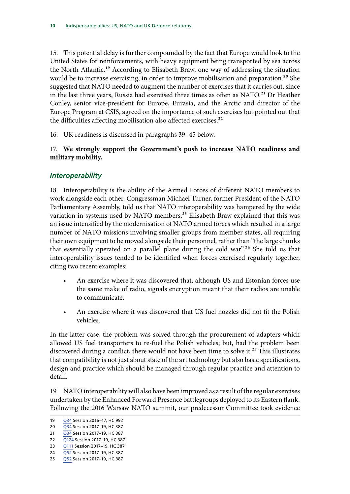<span id="page-13-0"></span>15. This potential delay is further compounded by the fact that Europe would look to the United States for reinforcements, with heavy equipment being transported by sea across the North Atlantic.<sup>19</sup> According to Elisabeth Braw, one way of addressing the situation would be to increase exercising, in order to improve mobilisation and preparation.<sup>20</sup> She suggested that NATO needed to augment the number of exercises that it carries out, since in the last three years, Russia had exercised three times as often as NATO*.*21 Dr Heather Conley, senior vice-president for Europe, Eurasia, and the Arctic and director of the Europe Program at CSIS, agreed on the importance of such exercises but pointed out that the difficulties affecting mobilisation also affected exercises.<sup>22</sup>

16. UK readiness is discussed in paragraphs 39–45 below.

17. **We strongly support the Government's push to increase NATO readiness and military mobility.**

#### *Interoperability*

18. Interoperability is the ability of the Armed Forces of different NATO members to work alongside each other. Congressman Michael Turner, former President of the NATO Parliamentary Assembly, told us that NATO interoperability was hampered by the wide variation in systems used by NATO members.<sup>23</sup> Elisabeth Braw explained that this was an issue intensified by the modernisation of NATO armed forces which resulted in a large number of NATO missions involving smaller groups from member states, all requiring their own equipment to be moved alongside their personnel, rather than "the large chunks that essentially operated on a parallel plane during the cold war".24 She told us that interoperability issues tended to be identified when forces exercised regularly together, citing two recent examples:

- An exercise where it was discovered that, although US and Estonian forces use the same make of radio, signals encryption meant that their radios are unable to communicate.
- An exercise where it was discovered that US fuel nozzles did not fit the Polish vehicles.

In the latter case, the problem was solved through the procurement of adapters which allowed US fuel transporters to re-fuel the Polish vehicles; but, had the problem been discovered during a conflict, there would not have been time to solve it.<sup>25</sup> This illustrates that compatibility is not just about state of the art technology but also basic specifications, design and practice which should be managed through regular practice and attention to detail.

19. NATO interoperability will also have been improved as a result of the regular exercises undertaken by the Enhanced Forward Presence battlegroups deployed to its Eastern flank. Following the 2016 Warsaw NATO summit, our predecessor Committee took evidence

<sup>19</sup> [Q34](http://data.parliament.uk/writtenevidence/committeeevidence.svc/evidencedocument/defence-committee/the-indispensable-ally-us-nato-and-uk-defence-relations/oral/48824.html) Session 2016–17, HC 992

<sup>20</sup> [Q34](http://data.parliament.uk/writtenevidence/committeeevidence.svc/evidencedocument/defence-committee/the-indispensable-ally-us-nato-and-uk-defence-relations/oral/72419.html) Session 2017–19, HC 387

<sup>21</sup> [Q34](http://data.parliament.uk/writtenevidence/committeeevidence.svc/evidencedocument/defence-committee/the-indispensable-ally-us-nato-and-uk-defence-relations/oral/72419.html) Session 2017-19, HC 387

<sup>22</sup> [Q124](http://data.parliament.uk/writtenevidence/committeeevidence.svc/evidencedocument/defence-committee/the-indispensable-ally-us-nato-and-uk-defence-relations/oral/79792.html) Session 2017–19, HC 387

<sup>23</sup> [Q111](http://data.parliament.uk/writtenevidence/committeeevidence.svc/evidencedocument/defence-committee/the-indispensable-ally-us-nato-and-uk-defence-relations/oral/79792.html) Session 2017–19, HC 387

<sup>24</sup> [Q52](http://data.parliament.uk/writtenevidence/committeeevidence.svc/evidencedocument/defence-committee/the-indispensable-ally-us-nato-and-uk-defence-relations/oral/72419.html) Session 2017–19, HC 387

<sup>25</sup> [Q52](http://data.parliament.uk/writtenevidence/committeeevidence.svc/evidencedocument/defence-committee/the-indispensable-ally-us-nato-and-uk-defence-relations/oral/72419.html) Session 2017–19, HC 387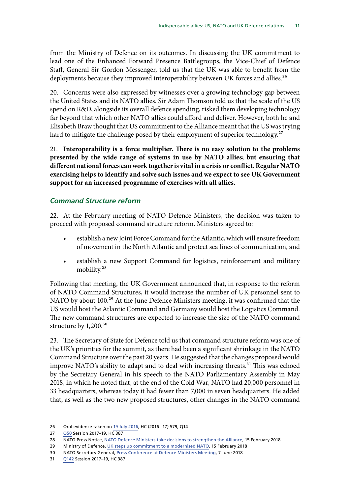<span id="page-14-0"></span>from the Ministry of Defence on its outcomes. In discussing the UK commitment to lead one of the Enhanced Forward Presence Battlegroups, the Vice-Chief of Defence Staff, General Sir Gordon Messenger, told us that the UK was able to benefit from the deployments because they improved interoperability between UK forces and allies.<sup>26</sup>

20. Concerns were also expressed by witnesses over a growing technology gap between the United States and its NATO allies. Sir Adam Thomson told us that the scale of the US spend on R&D, alongside its overall defence spending, risked them developing technology far beyond that which other NATO allies could afford and deliver. However, both he and Elisabeth Braw thought that US commitment to the Alliance meant that the US was trying hard to mitigate the challenge posed by their employment of superior technology.<sup>27</sup>

21. **Interoperability is a force multiplier. There is no easy solution to the problems presented by the wide range of systems in use by NATO allies; but ensuring that different national forces can work together is vital in a crisis or conflict. Regular NATO exercising helps to identify and solve such issues and we expect to see UK Government support for an increased programme of exercises with all allies.**

#### *Command Structure reform*

22. At the February meeting of NATO Defence Ministers, the decision was taken to proceed with proposed command structure reform. Ministers agreed to:

- establish a new Joint Force Command for the Atlantic, which will ensure freedom of movement in the North Atlantic and protect sea lines of communication, and
- establish a new Support Command for logistics, reinforcement and military mobility.28

Following that meeting, the UK Government announced that, in response to the reform of NATO Command Structures, it would increase the number of UK personnel sent to NATO by about 100.<sup>29</sup> At the June Defence Ministers meeting, it was confirmed that the US would host the Atlantic Command and Germany would host the Logistics Command. The new command structures are expected to increase the size of the NATO command structure by 1,200.<sup>30</sup>

23. The Secretary of State for Defence told us that command structure reform was one of the UK's priorities for the summit, as there had been a significant shrinkage in the NATO Command Structure over the past 20 years. He suggested that the changes proposed would improve NATO's ability to adapt and to deal with increasing threats.<sup>31</sup> This was echoed by the Secretary General in his speech to the NATO Parliamentary Assembly in May 2018, in which he noted that, at the end of the Cold War, NATO had 20,000 personnel in 33 headquarters, whereas today it had fewer than 7,000 in seven headquarters. He added that, as well as the two new proposed structures, other changes in the NATO command

<sup>26</sup> Oral evidence taken on [19 July 2016](http://www.parliament.uk/business/committees/committees-a-z/commons-select/defence-committee/inquiries/parliament-2015/warsaw-nato-summit-chilcot-16-17/), HC (2016 –17) 579, Q14

<sup>27</sup> [Q50](http://data.parliament.uk/writtenevidence/committeeevidence.svc/evidencedocument/defence-committee/the-indispensable-ally-us-nato-and-uk-defence-relations/oral/72419.html) Session 2017–19, HC 387

<sup>28</sup> NATO Press Notice, [NATO Defence Ministers take decisions to strengthen the Alliance](https://www.nato.int/cps/ic/natohq/news_152125.htm), 15 February 2018

<sup>29</sup> Ministry of Defence, [UK steps up commitment to a modernised NATO,](https://www.gov.uk/government/news/uk-steps-up-commitment-to-a-modernised-nato) 15 February 2018

<sup>30</sup> NATO Secretary General, [Press Conference at Defence Ministers Meeting](https://www.nato.int/cps/en/natohq/opinions_155264.htm), 7 June 2018

<sup>31</sup> [Q142](http://data.parliament.uk/writtenevidence/committeeevidence.svc/evidencedocument/defence-committee/the-indispensable-ally-us-nato-and-uk-defence-relations/oral/83311.html) Session 2017–19, HC 387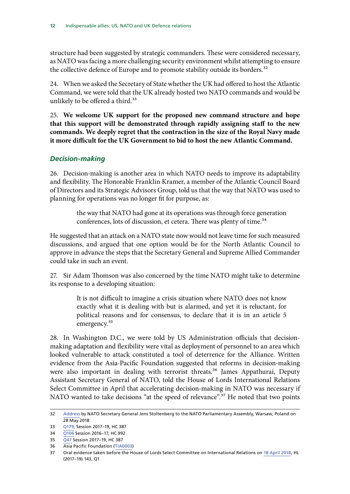<span id="page-15-0"></span>structure had been suggested by strategic commanders. These were considered necessary, as NATO was facing a more challenging security environment whilst attempting to ensure the collective defence of Europe and to promote stability outside its borders.<sup>32</sup>

24. When we asked the Secretary of State whether the UK had offered to host the Atlantic Command, we were told that the UK already hosted two NATO commands and would be unlikely to be offered a third.<sup>33</sup>

25. **We welcome UK support for the proposed new command structure and hope that this support will be demonstrated through rapidly assigning staff to the new commands. We deeply regret that the contraction in the size of the Royal Navy made it more difficult for the UK Government to bid to host the new Atlantic Command.**

#### *Decision-making*

26. Decision-making is another area in which NATO needs to improve its adaptability and flexibility. The Honorable Franklin Kramer, a member of the Atlantic Council Board of Directors and its Strategic Advisors Group, told us that the way that NATO was used to planning for operations was no longer fit for purpose, as:

> the way that NATO had gone at its operations was through force generation conferences, lots of discussion, et cetera. There was plenty of time.<sup>34</sup>

He suggested that an attack on a NATO state now would not leave time for such measured discussions, and argued that one option would be for the North Atlantic Council to approve in advance the steps that the Secretary General and Supreme Allied Commander could take in such an event.

27. Sir Adam Thomson was also concerned by the time NATO might take to determine its response to a developing situation:

> It is not difficult to imagine a crisis situation where NATO does not know exactly what it is dealing with but is alarmed, and yet it is reluctant, for political reasons and for consensus, to declare that it is in an article 5 emergency.<sup>35</sup>

28. In Washington D.C., we were told by US Administration officials that decisionmaking adaptation and flexibility were vital as deployment of personnel to an area which looked vulnerable to attack constituted a tool of deterrence for the Alliance. Written evidence from the Asia-Pacific Foundation suggested that reforms in decision-making were also important in dealing with terrorist threats.<sup>36</sup> James Appathurai, Deputy Assistant Secretary General of NATO, told the House of Lords International Relations Select Committee in April that accelerating decision-making in NATO was necessary if NATO wanted to take decisions "at the speed of relevance".<sup>37</sup> He noted that two points

<sup>32</sup> [Address](https://www.nato.int/cps/en/natohq/news_154895.htm) by NATO Secretary General Jens Stoltenberg to the NATO Parliamentary Assembly, Warsaw, Poland on 28 May 2018

<sup>33</sup> [Q179,](http://data.parliament.uk/writtenevidence/committeeevidence.svc/evidencedocument/defence-committee/the-indispensable-ally-us-nato-and-uk-defence-relations/oral/83311.html) Session 2017–19, HC 387

<sup>34</sup> [Q106](http://data.parliament.uk/writtenevidence/committeeevidence.svc/evidencedocument/defence-committee/the-indispensable-ally-us-nato-and-uk-defence-relations/oral/49473.html) Session 2016–17, HC 992

<sup>35</sup> [Q47](http://data.parliament.uk/writtenevidence/committeeevidence.svc/evidencedocument/defence-committee/the-indispensable-ally-us-nato-and-uk-defence-relations/oral/72419.html) Session 2017–19, HC 387

<sup>36</sup> Asia Pacific Foundation ([TIA0003](http://data.parliament.uk/writtenevidence/committeeevidence.svc/evidencedocument/defence-committee/the-indispensable-ally-us-nato-and-uk-defence-relations/written/73971.html))

<sup>37</sup> Oral evidence taken before the House of Lords Select Committee on International Relations on [18 April 2018](https://www.parliament.uk/documents/lords-committees/International-Relations-Committee/One-off-NATO/Corrected%20Transcript%20NATO.pdf), HL (2017–19) 143, Q1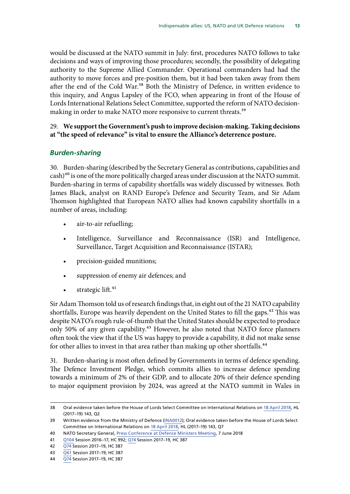<span id="page-16-0"></span>would be discussed at the NATO summit in July: first, procedures NATO follows to take decisions and ways of improving those procedures; secondly, the possibility of delegating authority to the Supreme Allied Commander. Operational commanders had had the authority to move forces and pre-position them, but it had been taken away from them after the end of the Cold War.<sup>38</sup> Both the Ministry of Defence, in written evidence to this inquiry, and Angus Lapsley of the FCO, when appearing in front of the House of Lords International Relations Select Committee, supported the reform of NATO decisionmaking in order to make NATO more responsive to current threats.<sup>39</sup>

#### 29. **We support the Government's push to improve decision-making. Taking decisions at "the speed of relevance" is vital to ensure the Alliance's deterrence posture.**

#### *Burden-sharing*

30. Burden-sharing (described by the Secretary General as contributions, capabilities and  $\cosh$ <sup>40</sup> is one of the more politically charged areas under discussion at the NATO summit. Burden-sharing in terms of capability shortfalls was widely discussed by witnesses. Both James Black, analyst on RAND Europe's Defence and Security Team, and Sir Adam Thomson highlighted that European NATO allies had known capability shortfalls in a number of areas, including:

- air-to-air refuelling;
- Intelligence, Surveillance and Reconnaissance (ISR) and Intelligence, Surveillance, Target Acquisition and Reconnaissance (ISTAR);
- precision-guided munitions;
- suppression of enemy air defences; and
- strategic lift. $41$

Sir Adam Thomson told us of research findings that, in eight out of the 21 NATO capability shortfalls, Europe was heavily dependent on the United States to fill the gaps.<sup>42</sup> This was despite NATO's rough rule-of-thumb that the United States should be expected to produce only 50% of any given capability.43 However, he also noted that NATO force planners often took the view that if the US was happy to provide a capability, it did not make sense for other allies to invest in that area rather than making up other shortfalls.<sup>44</sup>

31. Burden-sharing is most often defined by Governments in terms of defence spending. The Defence Investment Pledge, which commits allies to increase defence spending towards a minimum of 2% of their GDP, and to allocate 20% of their defence spending to major equipment provision by 2024, was agreed at the NATO summit in Wales in

<sup>38</sup> Oral evidence taken before the House of Lords Select Committee on International Relations on [18 April 2018](https://www.parliament.uk/documents/lords-committees/International-Relations-Committee/One-off-NATO/Corrected%20Transcript%20NATO.pdf), HL (2017–19) 143, Q2

<sup>39</sup> Written evidence from the Ministry of Defence ([INA0012\)](http://data.parliament.uk/writtenevidence/committeeevidence.svc/evidencedocument/defence-committee/the-indispensable-ally-us-nato-and-uk-defence-relations/written/48461.html); Oral evidence taken before the House of Lords Select Committee on International Relations on [18 April 2018](https://www.parliament.uk/documents/lords-committees/International-Relations-Committee/One-off-NATO/Corrected%20Transcript%20NATO.pdf), HL (2017–19) 143, Q7

<sup>40</sup> NATO Secretary General, [Press Conference at Defence Ministers Meeting](https://www.nato.int/cps/en/natohq/opinions_155264.htm), 7 June 2018

<sup>41</sup> [Q104](http://data.parliament.uk/writtenevidence/committeeevidence.svc/evidencedocument/defence-committee/the-indispensable-ally-us-nato-and-uk-defence-relations/oral/49473.html) Session 2016–17, HC 992; [Q74](http://data.parliament.uk/writtenevidence/committeeevidence.svc/evidencedocument/defence-committee/the-indispensable-ally-us-nato-and-uk-defence-relations/oral/72419.html) Session 2017–19, HC 387

<sup>42</sup> [Q74](http://data.parliament.uk/writtenevidence/committeeevidence.svc/evidencedocument/defence-committee/the-indispensable-ally-us-nato-and-uk-defence-relations/oral/72419.html) Session 2017–19, HC 387

<sup>43</sup> [Q61](http://data.parliament.uk/writtenevidence/committeeevidence.svc/evidencedocument/defence-committee/the-indispensable-ally-us-nato-and-uk-defence-relations/oral/72419.html) Session 2017–19, HC 387

<sup>44</sup> [Q74](http://data.parliament.uk/writtenevidence/committeeevidence.svc/evidencedocument/defence-committee/the-indispensable-ally-us-nato-and-uk-defence-relations/oral/72419.html) Session 2017–19, HC 387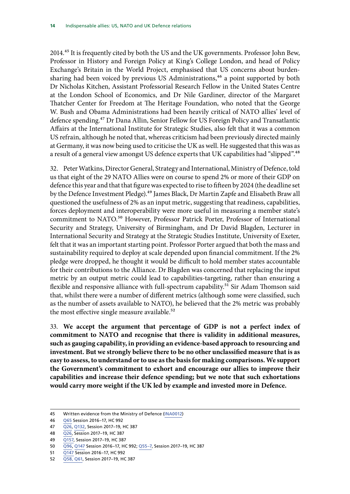2014.<sup>45</sup> It is frequently cited by both the US and the UK governments. Professor John Bew, Professor in History and Foreign Policy at King's College London, and head of Policy Exchange's Britain in the World Project, emphasised that US concerns about burdensharing had been voiced by previous US Administrations,<sup>46</sup> a point supported by both Dr Nicholas Kitchen, Assistant Professorial Research Fellow in the United States Centre at the London School of Economics, and Dr Nile Gardiner, director of the Margaret Thatcher Center for Freedom at The Heritage Foundation, who noted that the George W. Bush and Obama Administrations had been heavily critical of NATO allies' level of defence spending.47 Dr Dana Allin, Senior Fellow for US Foreign Policy and Transatlantic Affairs at the International Institute for Strategic Studies, also felt that it was a common US refrain, although he noted that, whereas criticism had been previously directed mainly at Germany, it was now being used to criticise the UK as well. He suggested that this was as a result of a general view amongst US defence experts that UK capabilities had "slipped".<sup>48</sup>

32. Peter Watkins, Director General, Strategy and International, Ministry of Defence, told us that eight of the 29 NATO Allies were on course to spend 2% or more of their GDP on defence this year and that that figure was expected to rise to fifteen by 2024 (the deadline set by the Defence Investment Pledge).<sup>49</sup> James Black, Dr Martin Zapfe and Elisabeth Braw all questioned the usefulness of 2% as an input metric, suggesting that readiness, capabilities, forces deployment and interoperability were more useful in measuring a member state's commitment to NATO.<sup>50</sup> However, Professor Patrick Porter, Professor of International Security and Strategy, University of Birmingham, and Dr David Blagden, Lecturer in International Security and Strategy at the Strategic Studies Institute, University of Exeter, felt that it was an important starting point. Professor Porter argued that both the mass and sustainability required to deploy at scale depended upon financial commitment. If the 2% pledge were dropped, he thought it would be difficult to hold member states accountable for their contributions to the Alliance. Dr Blagden was concerned that replacing the input metric by an output metric could lead to capabilities-targeting, rather than ensuring a flexible and responsive alliance with full-spectrum capability.<sup>51</sup> Sir Adam Thomson said that, whilst there were a number of different metrics (although some were classified, such as the number of assets available to NATO), he believed that the 2% metric was probably the most effective single measure available.<sup>52</sup>

33. **We accept the argument that percentage of GDP is not a perfect index of commitment to NATO and recognise that there is validity in additional measures, such as gauging capability, in providing an evidence-based approach to resourcing and investment. But we strongly believe there to be no other unclassified measure that is as easy to assess, to understand or to use as the basis for making comparisons. We support the Government's commitment to exhort and encourage our allies to improve their capabilities and increase their defence spending; but we note that such exhortations would carry more weight if the UK led by example and invested more in Defence.**

<sup>45</sup> Written evidence from the Ministry of Defence ([INA0012\)](http://data.parliament.uk/writtenevidence/committeeevidence.svc/evidencedocument/defence-committee/the-indispensable-ally-us-nato-and-uk-defence-relations/written/48461.html)

<sup>46</sup> [Q65](http://data.parliament.uk/writtenevidence/committeeevidence.svc/evidencedocument/defence-committee/the-indispensable-ally-us-nato-and-uk-defence-relations/oral/48824.html) Session 2016–17, HC 992

<sup>47</sup> [Q26](http://data.parliament.uk/writtenevidence/committeeevidence.svc/evidencedocument/defence-committee/the-indispensable-ally-us-nato-and-uk-defence-relations/oral/71160.html), [Q132](http://data.parliament.uk/writtenevidence/committeeevidence.svc/evidencedocument/defence-committee/the-indispensable-ally-us-nato-and-uk-defence-relations/oral/79792.html), Session 2017–19, HC 387

<sup>48</sup> [Q26](http://data.parliament.uk/writtenevidence/committeeevidence.svc/evidencedocument/defence-committee/the-indispensable-ally-us-nato-and-uk-defence-relations/oral/71160.html), Session 2017–19, HC 387

<sup>49</sup> [Q157](http://data.parliament.uk/writtenevidence/committeeevidence.svc/evidencedocument/defence-committee/the-indispensable-ally-us-nato-and-uk-defence-relations/oral/83311.html), Session 2017–19, HC 387

<sup>50</sup> [Q96,](http://data.parliament.uk/writtenevidence/committeeevidence.svc/evidencedocument/defence-committee/the-indispensable-ally-us-nato-and-uk-defence-relations/oral/49473.html) [Q147](http://data.parliament.uk/writtenevidence/committeeevidence.svc/evidencedocument/defence-committee/the-indispensable-ally-us-nato-and-uk-defence-relations/oral/69005.html) Session 2016–17, HC 992; [Q55–7](http://data.parliament.uk/writtenevidence/committeeevidence.svc/evidencedocument/defence-committee/the-indispensable-ally-us-nato-and-uk-defence-relations/oral/72419.html), Session 2017–19, HC 387

<sup>51</sup> [Q147](http://data.parliament.uk/writtenevidence/committeeevidence.svc/evidencedocument/defence-committee/the-indispensable-ally-us-nato-and-uk-defence-relations/oral/69005.html) Session 2016–17, HC 992

<sup>52</sup> [Q58, Q61,](http://data.parliament.uk/writtenevidence/committeeevidence.svc/evidencedocument/defence-committee/the-indispensable-ally-us-nato-and-uk-defence-relations/oral/72419.html) Session 2017–19, HC 387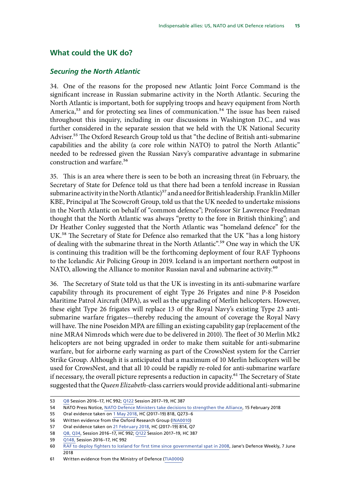#### <span id="page-18-0"></span>**What could the UK do?**

#### *Securing the North Atlantic*

34. One of the reasons for the proposed new Atlantic Joint Force Command is the significant increase in Russian submarine activity in the North Atlantic. Securing the North Atlantic is important, both for supplying troops and heavy equipment from North America,<sup>53</sup> and for protecting sea lines of communication.<sup>54</sup> The issue has been raised throughout this inquiry, including in our discussions in Washington D.C., and was further considered in the separate session that we held with the UK National Security Adviser.<sup>55</sup> The Oxford Research Group told us that "the decline of British anti-submarine capabilities and the ability (a core role within NATO) to patrol the North Atlantic" needed to be redressed given the Russian Navy's comparative advantage in submarine construction and warfare.56

35. This is an area where there is seen to be both an increasing threat (in February, the Secretary of State for Defence told us that there had been a tenfold increase in Russian submarine activity in the North Atlantic)<sup>57</sup> and a need for British leadership. Franklin Miller KBE, Principal at The Scowcroft Group, told us that the UK needed to undertake missions in the North Atlantic on behalf of "common defence"; Professor Sir Lawrence Freedman thought that the North Atlantic was always "pretty to the fore in British thinking"; and Dr Heather Conley suggested that the North Atlantic was "homeland defence" for the UK.58 The Secretary of State for Defence also remarked that the UK "has a long history of dealing with the submarine threat in the North Atlantic".59 One way in which the UK is continuing this tradition will be the forthcoming deployment of four RAF Typhoons to the Icelandic Air Policing Group in 2019. Iceland is an important northern outpost in NATO, allowing the Alliance to monitor Russian naval and submarine activity.<sup>60</sup>

36. The Secretary of State told us that the UK is investing in its anti-submarine warfare capability through its procurement of eight Type 26 Frigates and nine P-8 Poseidon Maritime Patrol Aircraft (MPA), as well as the upgrading of Merlin helicopters. However, these eight Type 26 frigates will replace 13 of the Royal Navy's existing Type 23 antisubmarine warfare frigates—thereby reducing the amount of coverage the Royal Navy will have. The nine Poseidon MPA are filling an existing capability gap (replacement of the nine MRA4 Nimrods which were due to be delivered in 2010). The fleet of 30 Merlin Mk2 helicopters are not being upgraded in order to make them suitable for anti-submarine warfare, but for airborne early warning as part of the CrowsNest system for the Carrier Strike Group. Although it is anticipated that a maximum of 10 Merlin helicopters will be used for CrowsNest, and that all 10 could be rapidly re-roled for anti-submarine warfare if necessary, the overall picture represents a reduction in capacity.<sup>61</sup> The Secretary of State suggested that the *Queen Elizabeth*-class carriers would provide additional anti-submarine

<sup>53</sup> [Q8](http://data.parliament.uk/writtenevidence/committeeevidence.svc/evidencedocument/defence-committee/the-indispensable-ally-us-nato-and-uk-defence-relations/oral/48824.html) Session 2016–17, HC 992; [Q122](http://data.parliament.uk/writtenevidence/committeeevidence.svc/evidencedocument/defence-committee/the-indispensable-ally-us-nato-and-uk-defence-relations/oral/79792.html) Session 2017–19, HC 387

<sup>54</sup> NATO Press Notice, [NATO Defence Ministers take decisions to strengthen the Alliance](https://www.nato.int/cps/ic/natohq/news_152125.htm), 15 February 2018

<sup>55</sup> Oral evidence taken on [1 May 2018,](http://data.parliament.uk/writtenevidence/committeeevidence.svc/evidencedocument/defence-committee/modernising-defence-programme/oral/82257.html) HC (2017–19) 818, Q273–6

<sup>56</sup> Written evidence from the Oxford Research Group ([INA0010](http://data.parliament.uk/writtenevidence/committeeevidence.svc/evidencedocument/defence-committee/the-indispensable-ally-us-nato-and-uk-defence-relations/written/48380.html))

<sup>57</sup> Oral evidence taken on [21 February 2018,](http://data.parliament.uk/writtenevidence/committeeevidence.svc/evidencedocument/defence-committee/departmental-priorites/oral/78795.html) HC (2017–19) 814, Q7

<sup>58</sup> [Q8, Q34,](http://data.parliament.uk/writtenevidence/committeeevidence.svc/evidencedocument/defence-committee/the-indispensable-ally-us-nato-and-uk-defence-relations/oral/48824.html) Session 2016–17, HC 992; [Q122](http://data.parliament.uk/writtenevidence/committeeevidence.svc/evidencedocument/defence-committee/the-indispensable-ally-us-nato-and-uk-defence-relations/oral/79792.html) Session 2017–19, HC 387

<sup>59</sup> [Q148,](http://data.parliament.uk/writtenevidence/committeeevidence.svc/evidencedocument/defence-committee/the-indispensable-ally-us-nato-and-uk-defence-relations/oral/69005.html) Session 2016–17, HC 992

<sup>60</sup> [RAF to deploy fighters to Iceland for first time since governmental spat in 2008](http://www.janes.com/article/80708/raf-to-deploy-fighters-to-iceland-for-first-time-since-governmental-spat-in-2008), Jane's Defence Weekly, 7 June 2018

<sup>61</sup> Written evidence from the Ministry of Defence ([TIA0006\)](http://data.parliament.uk/writtenevidence/committeeevidence.svc/evidencedocument/defence-committee/the-indispensable-ally-us-nato-and-uk-defence-relations/written/84588.html)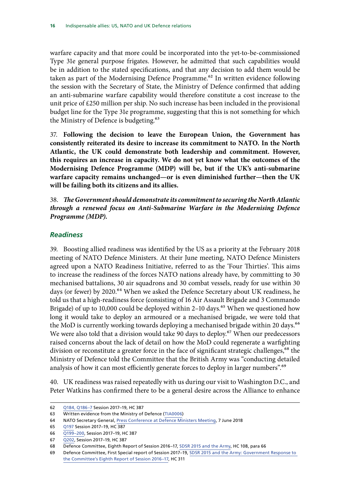<span id="page-19-0"></span>warfare capacity and that more could be incorporated into the yet-to-be-commissioned Type 31e general purpose frigates. However, he admitted that such capabilities would be in addition to the stated specifications, and that any decision to add them would be taken as part of the Modernising Defence Programme.<sup>62</sup> In written evidence following the session with the Secretary of State, the Ministry of Defence confirmed that adding an anti-submarine warfare capability would therefore constitute a cost increase to the unit price of £250 million per ship. No such increase has been included in the provisional budget line for the Type 31e programme, suggesting that this is not something for which the Ministry of Defence is budgeting.<sup>63</sup>

37. **Following the decision to leave the European Union, the Government has consistently reiterated its desire to increase its commitment to NATO. In the North Atlantic, the UK could demonstrate both leadership and commitment. However, this requires an increase in capacity. We do not yet know what the outcomes of the Modernising Defence Programme (MDP) will be, but if the UK's anti-submarine warfare capacity remains unchanged—or is even diminished further—then the UK will be failing both its citizens and its allies.**

38. *The Government should demonstrate its commitment to securing the North Atlantic through a renewed focus on Anti-Submarine Warfare in the Modernising Defence Programme (MDP).*

#### *Readiness*

39. Boosting allied readiness was identified by the US as a priority at the February 2018 meeting of NATO Defence Ministers. At their June meeting, NATO Defence Ministers agreed upon a NATO Readiness Initiative, referred to as the 'Four Thirties'. This aims to increase the readiness of the forces NATO nations already have, by committing to 30 mechanised battalions, 30 air squadrons and 30 combat vessels, ready for use within 30 days (or fewer) by 2020.<sup>64</sup> When we asked the Defence Secretary about UK readiness, he told us that a high-readiness force (consisting of 16 Air Assault Brigade and 3 Commando Brigade) of up to 10,000 could be deployed within 2-10 days.<sup>65</sup> When we questioned how long it would take to deploy an armoured or a mechanised brigade, we were told that the MoD is currently working towards deploying a mechanised brigade within 20 days.<sup>66</sup> We were also told that a division would take 90 days to deploy.<sup>67</sup> When our predecessors raised concerns about the lack of detail on how the MoD could regenerate a warfighting division or reconstitute a greater force in the face of significant strategic challenges,<sup>68</sup> the Ministry of Defence told the Committee that the British Army was "conducting detailed analysis of how it can most efficiently generate forces to deploy in larger numbers".<sup>69</sup>

40. UK readiness was raised repeatedly with us during our visit to Washington D.C., and Peter Watkins has confirmed there to be a general desire across the Alliance to enhance

<sup>62</sup> [Q184, Q186–7](http://data.parliament.uk/writtenevidence/committeeevidence.svc/evidencedocument/defence-committee/the-indispensable-ally-us-nato-and-uk-defence-relations/oral/83311.html) Session 2017–19, HC 387

<sup>63</sup> Written evidence from the Ministry of Defence ([TIA0006\)](http://data.parliament.uk/writtenevidence/committeeevidence.svc/evidencedocument/defence-committee/the-indispensable-ally-us-nato-and-uk-defence-relations/written/84588.html)

<sup>64</sup> NATO Secretary General, [Press Conference at Defence Ministers Meeting](https://www.nato.int/cps/en/natohq/opinions_155264.htm), 7 June 2018

<sup>65</sup> [Q197](http://data.parliament.uk/writtenevidence/committeeevidence.svc/evidencedocument/defence-committee/the-indispensable-ally-us-nato-and-uk-defence-relations/oral/83311.html) Session 2017–19, HC 387

<sup>66</sup> [Q199–200](http://data.parliament.uk/writtenevidence/committeeevidence.svc/evidencedocument/defence-committee/the-indispensable-ally-us-nato-and-uk-defence-relations/oral/83311.html), Session 2017–19, HC 387

<sup>67</sup> [Q202](http://data.parliament.uk/writtenevidence/committeeevidence.svc/evidencedocument/defence-committee/the-indispensable-ally-us-nato-and-uk-defence-relations/oral/83311.html), Session 2017–19, HC 387

<sup>68</sup> Defence Committee, Eighth Report of Session 2016–17, [SDSR 2015 and the Army](https://publications.parliament.uk/pa/cm201617/cmselect/cmdfence/108/10802.htm), HC 108, para 66

<sup>69</sup> Defence Committee, First Special report of Session 2017–19, [SDSR 2015 and the Army: Government Response to](https://publications.parliament.uk/pa/cm201719/cmselect/cmdfence/311/31102.htm)  [the Committee's Eighth Report of Session 2016–17,](https://publications.parliament.uk/pa/cm201719/cmselect/cmdfence/311/31102.htm) HC 311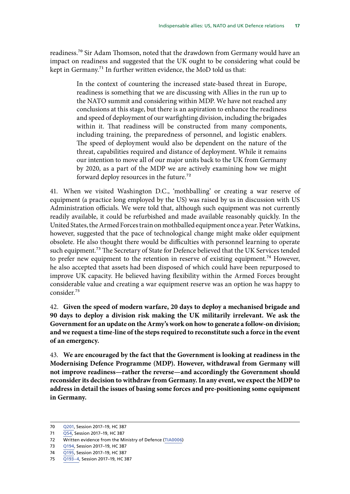readiness.70 Sir Adam Thomson, noted that the drawdown from Germany would have an impact on readiness and suggested that the UK ought to be considering what could be kept in Germany.<sup>71</sup> In further written evidence, the MoD told us that:

> In the context of countering the increased state-based threat in Europe, readiness is something that we are discussing with Allies in the run up to the NATO summit and considering within MDP. We have not reached any conclusions at this stage, but there is an aspiration to enhance the readiness and speed of deployment of our warfighting division, including the brigades within it. That readiness will be constructed from many components, including training, the preparedness of personnel, and logistic enablers. The speed of deployment would also be dependent on the nature of the threat, capabilities required and distance of deployment. While it remains our intention to move all of our major units back to the UK from Germany by 2020, as a part of the MDP we are actively examining how we might forward deploy resources in the future.72

41. When we visited Washington D.C., 'mothballing' or creating a war reserve of equipment (a practice long employed by the US) was raised by us in discussion with US Administration officials. We were told that, although such equipment was not currently readily available, it could be refurbished and made available reasonably quickly. In the United States, the Armed Forces train on mothballed equipment once a year. Peter Watkins, however, suggested that the pace of technological change might make older equipment obsolete. He also thought there would be difficulties with personnel learning to operate such equipment.<sup>73</sup> The Secretary of State for Defence believed that the UK Services tended to prefer new equipment to the retention in reserve of existing equipment.<sup>74</sup> However, he also accepted that assets had been disposed of which could have been repurposed to improve UK capacity. He believed having flexibility within the Armed Forces brought considerable value and creating a war equipment reserve was an option he was happy to consider.75

42. **Given the speed of modern warfare, 20 days to deploy a mechanised brigade and 90 days to deploy a division risk making the UK militarily irrelevant. We ask the Government for an update on the Army's work on how to generate a follow-on division; and we request a time-line of the steps required to reconstitute such a force in the event of an emergency.**

43. **We are encouraged by the fact that the Government is looking at readiness in the Modernising Defence Programme (MDP). However, withdrawal from Germany will not improve readiness—rather the reverse—and accordingly the Government should reconsider its decision to withdraw from Germany. In any event, we expect the MDP to address in detail the issues of basing some forces and pre-positioning some equipment in Germany.**

<sup>70</sup> [Q201,](http://data.parliament.uk/writtenevidence/committeeevidence.svc/evidencedocument/defence-committee/the-indispensable-ally-us-nato-and-uk-defence-relations/oral/83311.html) Session 2017–19, HC 387

<sup>71</sup> [Q54](http://data.parliament.uk/writtenevidence/committeeevidence.svc/evidencedocument/defence-committee/the-indispensable-ally-us-nato-and-uk-defence-relations/oral/72419.html), Session 2017-19, HC 387

<sup>72</sup> Written evidence from the Ministry of Defence ([TIA0006\)](http://data.parliament.uk/writtenevidence/committeeevidence.svc/evidencedocument/defence-committee/the-indispensable-ally-us-nato-and-uk-defence-relations/written/84588.html)

<sup>73</sup> [Q194](http://data.parliament.uk/writtenevidence/committeeevidence.svc/evidencedocument/defence-committee/the-indispensable-ally-us-nato-and-uk-defence-relations/oral/83311.html), Session 2017–19, HC 387

<sup>74</sup> [Q195,](http://data.parliament.uk/writtenevidence/committeeevidence.svc/evidencedocument/defence-committee/the-indispensable-ally-us-nato-and-uk-defence-relations/oral/83311.html) Session 2017–19, HC 387

<sup>75</sup> [Q193–4,](http://data.parliament.uk/writtenevidence/committeeevidence.svc/evidencedocument/defence-committee/the-indispensable-ally-us-nato-and-uk-defence-relations/oral/83311.html) Session 2017–19, HC 387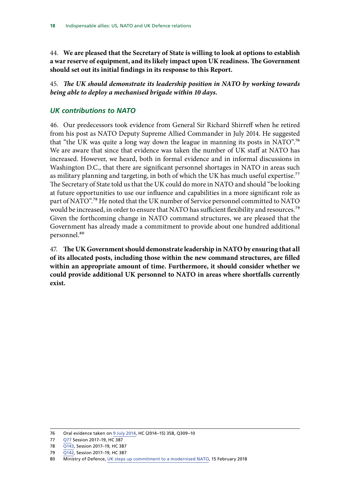<span id="page-21-0"></span>44. **We are pleased that the Secretary of State is willing to look at options to establish a war reserve of equipment, and its likely impact upon UK readiness. The Government should set out its initial findings in its response to this Report.**

45. *The UK should demonstrate its leadership position in NATO by working towards being able to deploy a mechanised brigade within 10 days.*

#### *UK contributions to NATO*

46. Our predecessors took evidence from General Sir Richard Shirreff when he retired from his post as NATO Deputy Supreme Allied Commander in July 2014. He suggested that "the UK was quite a long way down the league in manning its posts in NATO".76 We are aware that since that evidence was taken the number of UK staff at NATO has increased. However, we heard, both in formal evidence and in informal discussions in Washington D.C., that there are significant personnel shortages in NATO in areas such as military planning and targeting, in both of which the UK has much useful expertise.<sup>77</sup> The Secretary of State told us that the UK could do more in NATO and should "be looking at future opportunities to use our influence and capabilities in a more significant role as part of NATO".<sup>78</sup> He noted that the UK number of Service personnel committed to NATO would be increased, in order to ensure that NATO has sufficient flexibility and resources.<sup>79</sup> Given the forthcoming change in NATO command structures, we are pleased that the Government has already made a commitment to provide about one hundred additional personnel.<sup>80</sup>

47. **The UK Government should demonstrate leadership in NATO by ensuring that all of its allocated posts, including those within the new command structures, are filled within an appropriate amount of time. Furthermore, it should consider whether we could provide additional UK personnel to NATO in areas where shortfalls currently exist.**

<sup>76</sup> Oral evidence taken on [9 July 2014](http://data.parliament.uk/writtenevidence/committeeevidence.svc/evidencedocument/defence-committee/towards-the-next-defence-and-security-review-part-two-nato/oral/11261.html), HC (2014–15) 358, Q309–10

<sup>77</sup> [Q77](http://data.parliament.uk/writtenevidence/committeeevidence.svc/evidencedocument/defence-committee/the-indispensable-ally-us-nato-and-uk-defence-relations/oral/72419.html) Session 2017–19, HC 387

<sup>78</sup> [Q143,](http://data.parliament.uk/writtenevidence/committeeevidence.svc/evidencedocument/defence-committee/the-indispensable-ally-us-nato-and-uk-defence-relations/oral/83311.html) Session 2017–19, HC 387

<sup>79</sup> [Q142,](http://data.parliament.uk/writtenevidence/committeeevidence.svc/evidencedocument/defence-committee/the-indispensable-ally-us-nato-and-uk-defence-relations/oral/83311.html) Session 2017–19, HC 387

<sup>80</sup> Ministry of Defence, [UK steps up commitment to a modernised NATO,](https://www.gov.uk/government/news/uk-steps-up-commitment-to-a-modernised-nato) 15 February 2018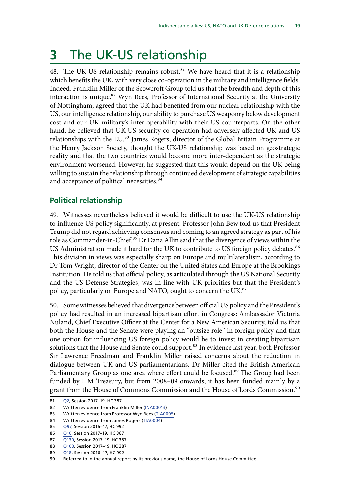# <span id="page-22-0"></span>**3** The UK-US relationship

48. The UK-US relationship remains robust.<sup>81</sup> We have heard that it is a relationship which benefits the UK, with very close co-operation in the military and intelligence fields. Indeed, Franklin Miller of the Scowcroft Group told us that the breadth and depth of this interaction is unique.<sup>82</sup> Wyn Rees, Professor of International Security at the University of Nottingham, agreed that the UK had benefited from our nuclear relationship with the US, our intelligence relationship, our ability to purchase US weaponry below development cost and our UK military's inter-operability with their US counterparts. On the other hand, he believed that UK-US security co-operation had adversely affected UK and US relationships with the EU.<sup>83</sup> James Rogers, director of the Global Britain Programme at the Henry Jackson Society, thought the UK-US relationship was based on geostrategic reality and that the two countries would become more inter-dependent as the strategic environment worsened. However, he suggested that this would depend on the UK being willing to sustain the relationship through continued development of strategic capabilities and acceptance of political necessities.<sup>84</sup>

#### **Political relationship**

49. Witnesses nevertheless believed it would be difficult to use the UK-US relationship to influence US policy significantly, at present. Professor John Bew told us that President Trump did not regard achieving consensus and coming to an agreed strategy as part of his role as Commander-in-Chief.<sup>85</sup> Dr Dana Allin said that the divergence of views within the US Administration made it hard for the UK to contribute to US foreign policy debates.<sup>86</sup> This division in views was especially sharp on Europe and multilateralism, according to Dr Tom Wright, director of the Center on the United States and Europe at the Brookings Institution. He told us that official policy, as articulated through the US National Security and the US Defense Strategies, was in line with UK priorities but that the President's policy, particularly on Europe and NATO, ought to concern the UK.<sup>87</sup>

50. Some witnesses believed that divergence between official US policy and the President's policy had resulted in an increased bipartisan effort in Congress: Ambassador Victoria Nuland, Chief Executive Officer at the Center for a New American Security, told us that both the House and the Senate were playing an "outsize role" in foreign policy and that one option for influencing US foreign policy would be to invest in creating bipartisan solutions that the House and Senate could support.<sup>88</sup> In evidence last year, both Professor Sir Lawrence Freedman and Franklin Miller raised concerns about the reduction in dialogue between UK and US parliamentarians. Dr Miller cited the British American Parliamentary Group as one area where effort could be focused.<sup>89</sup> The Group had been funded by HM Treasury, but from 2008–09 onwards, it has been funded mainly by a grant from the House of Commons Commission and the House of Lords Commission.<sup>90</sup>

<sup>81</sup> [Q2,](http://data.parliament.uk/writtenevidence/committeeevidence.svc/evidencedocument/defence-committee/the-indispensable-ally-us-nato-and-uk-defence-relations/oral/71160.html) Session 2017–19, HC 387

<sup>82</sup> Written evidence from Franklin Miller ([INA00013](http://data.parliament.uk/writtenevidence/committeeevidence.svc/evidencedocument/defence-committee/the-indispensable-ally-us-nato-and-uk-defence-relations/written/48546.html))

<sup>83</sup> Written evidence from Professor Wyn Rees [\(TIA0005](http://data.parliament.uk/writtenevidence/committeeevidence.svc/evidencedocument/defence-committee/the-indispensable-ally-us-nato-and-uk-defence-relations/written/80573.html))

<sup>84</sup> Written evidence from James Rogers ([TIA0004](http://data.parliament.uk/writtenevidence/committeeevidence.svc/evidencedocument/defence-committee/the-indispensable-ally-us-nato-and-uk-defence-relations/written/76666.html))

<sup>85</sup> [Q97,](http://data.parliament.uk/writtenevidence/committeeevidence.svc/evidencedocument/defence-committee/the-indispensable-ally-us-nato-and-uk-defence-relations/oral/49473.html) Session 2016–17, HC 992

<sup>86</sup> [Q10,](http://data.parliament.uk/writtenevidence/committeeevidence.svc/evidencedocument/defence-committee/the-indispensable-ally-us-nato-and-uk-defence-relations/oral/71160.html) Session 2017-19, HC 387

<sup>87</sup> [Q130,](http://data.parliament.uk/writtenevidence/committeeevidence.svc/evidencedocument/defence-committee/the-indispensable-ally-us-nato-and-uk-defence-relations/oral/79792.html) Session 2017-19, HC 387

<sup>88</sup> [Q103,](http://data.parliament.uk/writtenevidence/committeeevidence.svc/evidencedocument/defence-committee/the-indispensable-ally-us-nato-and-uk-defence-relations/oral/79792.html) Session 2017–19, HC 387

<sup>89</sup> [Q18,](http://data.parliament.uk/writtenevidence/committeeevidence.svc/evidencedocument/defence-committee/the-indispensable-ally-us-nato-and-uk-defence-relations/oral/48824.html) Session 2016–17, HC 992

<sup>90</sup> Referred to in the annual report by its previous name, the House of Lords House Committee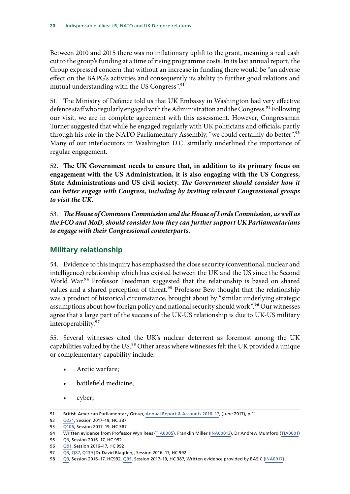<span id="page-23-0"></span>Between 2010 and 2015 there was no inflationary uplift to the grant, meaning a real cash cut to the group's funding at a time of rising programme costs. In its last annual report, the Group expressed concern that without an increase in funding there would be "an adverse effect on the BAPG's activities and consequently its ability to further good relations and mutual understanding with the US Congress".<sup>91</sup>

51. The Ministry of Defence told us that UK Embassy in Washington had very effective defence staff who regularly engaged with the Administration and the Congress.<sup>92</sup> Following our visit, we are in complete agreement with this assessment. However, Congressman Turner suggested that while he engaged regularly with UK politicians and officials, partly through his role in the NATO Parliamentary Assembly, "we could certainly do better".<sup>93</sup> Many of our interlocutors in Washington D.C. similarly underlined the importance of regular engagement.

52. **The UK Government needs to ensure that, in addition to its primary focus on engagement with the US Administration, it is also engaging with the US Congress, State Administrations and US civil society.** *The Government should consider how it can better engage with Congress, including by inviting relevant Congressional groups to visit the UK.*

53. *The House of Commons Commission and the House of Lords Commission, as well as the FCO and MoD, should consider how they can further support UK Parliamentarians to engage with their Congressional counterparts.*

#### **Military relationship**

54. Evidence to this inquiry has emphasised the close security (conventional, nuclear and intelligence) relationship which has existed between the UK and the US since the Second World War.<sup>94</sup> Professor Freedman suggested that the relationship is based on shared values and a shared perception of threat.<sup>95</sup> Professor Bew thought that the relationship was a product of historical circumstance, brought about by "similar underlying strategic assumptions about how foreign policy and national security should work".<sup>96</sup> Our witnesses agree that a large part of the success of the UK-US relationship is due to UK-US military interoperability.<sup>97</sup>

55. Several witnesses cited the UK's nuclear deterrent as foremost among the UK capabilities valued by the US.<sup>98</sup> Other areas where witnesses felt the UK provided a unique or complementary capability include:

- Arctic warfare;
- battlefield medicine;
- cyber;

<sup>91</sup> British American Parliamentary Group, Annual Report & Accounts 2016-17, (June 2017), p 11

<sup>92</sup> [Q221,](http://data.parliament.uk/writtenevidence/committeeevidence.svc/evidencedocument/defence-committee/the-indispensable-ally-us-nato-and-uk-defence-relations/oral/83311.html) Session 2017–19, HC 387

<sup>93</sup> [Q106](http://data.parliament.uk/writtenevidence/committeeevidence.svc/evidencedocument/defence-committee/the-indispensable-ally-us-nato-and-uk-defence-relations/oral/79792.html), Session 2017–19, HC 387

<sup>94</sup> Written evidence from Professor Wyn Rees ([TIA0005\)](http://data.parliament.uk/writtenevidence/committeeevidence.svc/evidencedocument/defence-committee/the-indispensable-ally-us-nato-and-uk-defence-relations/written/80573.html), Franklin Miller ([INA00013](http://data.parliament.uk/writtenevidence/committeeevidence.svc/evidencedocument/defence-committee/the-indispensable-ally-us-nato-and-uk-defence-relations/written/48546.html)), Dr Andrew Mumford ([TIA0001\)](http://data.parliament.uk/writtenevidence/committeeevidence.svc/evidencedocument/defence-committee/the-indispensable-ally-us-nato-and-uk-defence-relations/written/71371.html)

<sup>95</sup> [Q3,](http://data.parliament.uk/writtenevidence/committeeevidence.svc/evidencedocument/defence-committee/the-indispensable-ally-us-nato-and-uk-defence-relations/oral/48824.html) Session 2016–17, HC 992

<sup>96</sup> [Q91,](http://data.parliament.uk/writtenevidence/committeeevidence.svc/evidencedocument/defence-committee/the-indispensable-ally-us-nato-and-uk-defence-relations/oral/49473.html) Session 2016–17, HC 992

<sup>97</sup> [Q3,](http://data.parliament.uk/writtenevidence/committeeevidence.svc/evidencedocument/defence-committee/the-indispensable-ally-us-nato-and-uk-defence-relations/oral/48824.html) [Q87,](http://data.parliament.uk/writtenevidence/committeeevidence.svc/evidencedocument/defence-committee/the-indispensable-ally-us-nato-and-uk-defence-relations/oral/49473.html) [Q139](http://data.parliament.uk/writtenevidence/committeeevidence.svc/evidencedocument/defence-committee/the-indispensable-ally-us-nato-and-uk-defence-relations/oral/69005.html) [Dr David Blagden], Session 2016–17, HC 992

<sup>98</sup> [Q3,](http://data.parliament.uk/writtenevidence/committeeevidence.svc/evidencedocument/defence-committee/the-indispensable-ally-us-nato-and-uk-defence-relations/oral/48824.html) Session 2016–17, HC992, [Q95](http://data.parliament.uk/writtenevidence/committeeevidence.svc/evidencedocument/defence-committee/the-indispensable-ally-us-nato-and-uk-defence-relations/oral/79792.html), Session 2017–19, HC 387, Written evidence provided by BASIC [\(INA0017](http://data.parliament.uk/writtenevidence/committeeevidence.svc/evidencedocument/defence-committee/the-indispensable-ally-us-nato-and-uk-defence-relations/written/49506.html))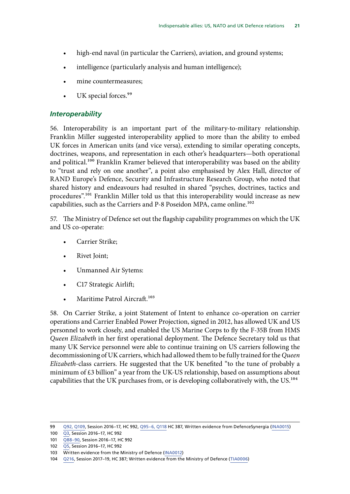- <span id="page-24-0"></span>high-end naval (in particular the Carriers), aviation, and ground systems;
- intelligence (particularly analysis and human intelligence);
- mine countermeasures;
- UK special forces.<sup>99</sup>

#### *Interoperability*

56. Interoperability is an important part of the military-to-military relationship. Franklin Miller suggested interoperability applied to more than the ability to embed UK forces in American units (and vice versa), extending to similar operating concepts, doctrines, weapons, and representation in each other's headquarters—both operational and political.<sup>100</sup> Franklin Kramer believed that interoperability was based on the ability to "trust and rely on one another", a point also emphasised by Alex Hall, director of RAND Europe's Defence, Security and Infrastructure Research Group, who noted that shared history and endeavours had resulted in shared "psyches, doctrines, tactics and procedures".101 Franklin Miller told us that this interoperability would increase as new capabilities, such as the Carriers and P-8 Poseidon MPA, came online.<sup>102</sup>

57. The Ministry of Defence set out the flagship capability programmes on which the UK and US co-operate:

- Carrier Strike;
- Rivet Joint;
- Unmanned Air Sytems:
- C17 Strategic Airlift;
- Maritime Patrol Aircraft.<sup>103</sup>

58. On Carrier Strike, a joint Statement of Intent to enhance co-operation on carrier operations and Carrier Enabled Power Projection, signed in 2012, has allowed UK and US personnel to work closely, and enabled the US Marine Corps to fly the F-35B from HMS *Queen Elizabeth* in her first operational deployment. The Defence Secretary told us that many UK Service personnel were able to continue training on US carriers following the decommissioning of UK carriers, which had allowed them to be fully trained for the *Queen Elizabeth*-class carriers. He suggested that the UK benefited "to the tune of probably a minimum of £3 billion" a year from the UK-US relationship, based on assumptions about capabilities that the UK purchases from, or is developing collaboratively with, the US.<sup>104</sup>

<sup>99</sup> [Q92, Q109,](http://data.parliament.uk/writtenevidence/committeeevidence.svc/evidencedocument/defence-committee/the-indispensable-ally-us-nato-and-uk-defence-relations/oral/49473.html) Session 2016–17, HC 992, [Q95–6, Q118](http://data.parliament.uk/writtenevidence/committeeevidence.svc/evidencedocument/defence-committee/the-indispensable-ally-us-nato-and-uk-defence-relations/oral/79792.html) HC 387, Written evidence from DefenceSynergia [\(INA0015](http://data.parliament.uk/writtenevidence/committeeevidence.svc/evidencedocument/defence-committee/the-indispensable-ally-us-nato-and-uk-defence-relations/written/49186.html))

<sup>100</sup> [Q3,](http://data.parliament.uk/writtenevidence/committeeevidence.svc/evidencedocument/defence-committee/the-indispensable-ally-us-nato-and-uk-defence-relations/oral/48824.html) Session 2016–17, HC 992

<sup>101</sup> [Q88–90,](http://data.parliament.uk/writtenevidence/committeeevidence.svc/evidencedocument/defence-committee/the-indispensable-ally-us-nato-and-uk-defence-relations/oral/49473.html) Session 2016–17, HC 992

<sup>102</sup> [Q5,](http://data.parliament.uk/writtenevidence/committeeevidence.svc/evidencedocument/defence-committee/the-indispensable-ally-us-nato-and-uk-defence-relations/oral/48824.html) Session 2016–17, HC 992

<sup>103</sup> Written evidence from the Ministry of Defence ([INA0012\)](http://data.parliament.uk/writtenevidence/committeeevidence.svc/evidencedocument/defence-committee/the-indispensable-ally-us-nato-and-uk-defence-relations/written/48461.html)

<sup>104</sup> [Q216,](http://data.parliament.uk/writtenevidence/committeeevidence.svc/evidencedocument/defence-committee/the-indispensable-ally-us-nato-and-uk-defence-relations/oral/83311.html) Session 2017–19, HC 387; Written evidence from the Ministry of Defence ([TIA0006\)](http://data.parliament.uk/writtenevidence/committeeevidence.svc/evidencedocument/defence-committee/the-indispensable-ally-us-nato-and-uk-defence-relations/written/84588.html)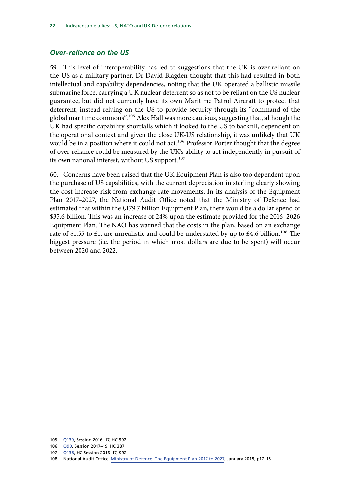#### <span id="page-25-0"></span>*Over-reliance on the US*

59. This level of interoperability has led to suggestions that the UK is over-reliant on the US as a military partner. Dr David Blagden thought that this had resulted in both intellectual and capability dependencies, noting that the UK operated a ballistic missile submarine force, carrying a UK nuclear deterrent so as not to be reliant on the US nuclear guarantee, but did not currently have its own Maritime Patrol Aircraft to protect that deterrent, instead relying on the US to provide security through its "command of the global maritime commons".105 Alex Hall was more cautious, suggesting that, although the UK had specific capability shortfalls which it looked to the US to backfill, dependent on the operational context and given the close UK-US relationship, it was unlikely that UK would be in a position where it could not act.<sup>106</sup> Professor Porter thought that the degree of over-reliance could be measured by the UK's ability to act independently in pursuit of its own national interest, without US support.<sup>107</sup>

60. Concerns have been raised that the UK Equipment Plan is also too dependent upon the purchase of US capabilities, with the current depreciation in sterling clearly showing the cost increase risk from exchange rate movements. In its analysis of the Equipment Plan 2017–2027, the National Audit Office noted that the Ministry of Defence had estimated that within the £179.7 billion Equipment Plan, there would be a dollar spend of \$35.6 billion. This was an increase of 24% upon the estimate provided for the 2016–2026 Equipment Plan. The NAO has warned that the costs in the plan, based on an exchange rate of \$1.55 to £1, are unrealistic and could be understated by up to £4.6 billion.<sup>108</sup> The biggest pressure (i.e. the period in which most dollars are due to be spent) will occur between 2020 and 2022.

<sup>105</sup> [Q139,](http://data.parliament.uk/writtenevidence/committeeevidence.svc/evidencedocument/defence-committee/the-indispensable-ally-us-nato-and-uk-defence-relations/oral/69005.html) Session 2016–17, HC 992

<sup>106</sup> [Q90](http://data.parliament.uk/writtenevidence/committeeevidence.svc/evidencedocument/defence-committee/the-indispensable-ally-us-nato-and-uk-defence-relations/oral/79792.html), Session 2017–19, HC 387

<sup>107</sup> [Q138](http://data.parliament.uk/writtenevidence/committeeevidence.svc/evidencedocument/defence-committee/the-indispensable-ally-us-nato-and-uk-defence-relations/oral/69005.html), HC Session 2016–17, 992

<sup>108</sup> National Audit Office, [Ministry of Defence: The Equipment Plan 2017 to 2027,](https://www.nao.org.uk/wp-content/uploads/2018/01/The-Equipment-Plan-2017-to-2027.pdf) January 2018, p17–18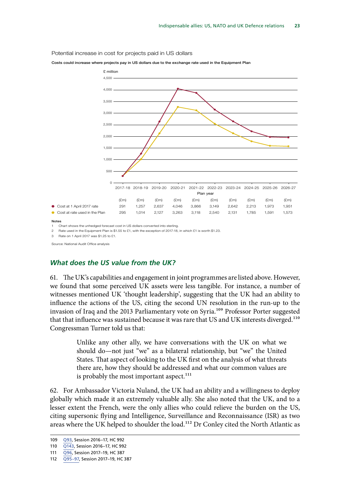Potential increase in cost for projects paid in US dollars





1 Chart shows the unhedged forecast cost in US dollars converted into sterling.

2 Rate used in the Equipment Plan is \$1.55 to £1, with the exception of 2017-18, in which £1 is worth \$1.23.

3 Rate on 1 April 2017 was \$1.25 to £1.

Source: National Audit Office analysis

Notes

#### *What does the US value from the UK?*

61. The UK's capabilities and engagement in joint programmes are listed above. However, we found that some perceived UK assets were less tangible. For instance, a number of witnesses mentioned UK 'thought leadership', suggesting that the UK had an ability to influence the actions of the US, citing the second UN resolution in the run-up to the invasion of Iraq and the 2013 Parliamentary vote on Syria.<sup>109</sup> Professor Porter suggested that that influence was sustained because it was rare that US and UK interests diverged.<sup>110</sup> Congressman Turner told us that:

> Unlike any other ally, we have conversations with the UK on what we should do—not just "we" as a bilateral relationship, but "we" the United States. That aspect of looking to the UK first on the analysis of what threats there are, how they should be addressed and what our common values are is probably the most important aspect.<sup>111</sup>

62. For Ambassador Victoria Nuland, the UK had an ability and a willingness to deploy globally which made it an extremely valuable ally. She also noted that the UK, and to a lesser extent the French, were the only allies who could relieve the burden on the US, citing supersonic flying and Intelligence, Surveillance and Reconnaissance (ISR) as two areas where the UK helped to shoulder the load.<sup>112</sup> Dr Conley cited the North Atlantic as

<sup>109</sup> [Q93](http://data.parliament.uk/writtenevidence/committeeevidence.svc/evidencedocument/defence-committee/the-indispensable-ally-us-nato-and-uk-defence-relations/oral/49473.html), Session 2016–17, HC 992

<sup>110</sup> [Q143,](http://data.parliament.uk/writtenevidence/committeeevidence.svc/evidencedocument/defence-committee/the-indispensable-ally-us-nato-and-uk-defence-relations/oral/69005.html) Session 2016–17, HC 992

<sup>111</sup> [Q96,](http://data.parliament.uk/writtenevidence/committeeevidence.svc/evidencedocument/defence-committee/the-indispensable-ally-us-nato-and-uk-defence-relations/oral/79792.html) Session 2017–19, HC 387

<sup>112</sup> [Q95–97,](http://data.parliament.uk/writtenevidence/committeeevidence.svc/evidencedocument/defence-committee/the-indispensable-ally-us-nato-and-uk-defence-relations/oral/79792.html) Session 2017–19, HC 387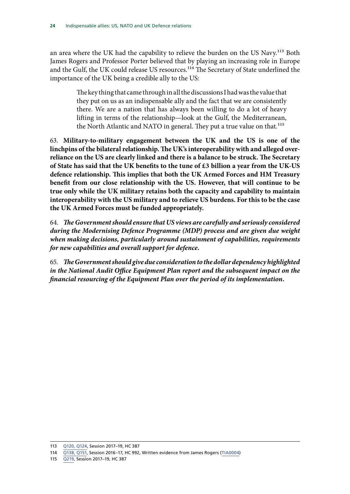an area where the UK had the capability to relieve the burden on the US Navy.<sup>113</sup> Both James Rogers and Professor Porter believed that by playing an increasing role in Europe and the Gulf, the UK could release US resources.<sup>114</sup> The Secretary of State underlined the importance of the UK being a credible ally to the US:

> The key thing that came through in all the discussions I had was the value that they put on us as an indispensable ally and the fact that we are consistently there. We are a nation that has always been willing to do a lot of heavy lifting in terms of the relationship—look at the Gulf, the Mediterranean, the North Atlantic and NATO in general. They put a true value on that.<sup>115</sup>

63. **Military-to-military engagement between the UK and the US is one of the linchpins of the bilateral relationship. The UK's interoperability with and alleged overreliance on the US are clearly linked and there is a balance to be struck. The Secretary of State has said that the UK benefits to the tune of £3 billion a year from the UK-US defence relationship. This implies that both the UK Armed Forces and HM Treasury benefit from our close relationship with the US. However, that will continue to be true only while the UK military retains both the capacity and capability to maintain interoperability with the US military and to relieve US burdens. For this to be the case the UK Armed Forces must be funded appropriately.**

64. *The Government should ensure that US views are carefully and seriously considered during the Modernising Defence Programme (MDP) process and are given due weight when making decisions, particularly around sustainment of capabilities, requirements for new capabilities and overall support for defence.*

65. *The Government should give due consideration to the dollar dependency highlighted in the National Audit Office Equipment Plan report and the subsequent impact on the financial resourcing of the Equipment Plan over the period of its implementation.*

<sup>113</sup> [Q120, Q124](http://data.parliament.uk/writtenevidence/committeeevidence.svc/evidencedocument/defence-committee/the-indispensable-ally-us-nato-and-uk-defence-relations/oral/79792.html), Session 2017–19, HC 387

<sup>114</sup> [Q138, Q151,](http://data.parliament.uk/writtenevidence/committeeevidence.svc/evidencedocument/defence-committee/the-indispensable-ally-us-nato-and-uk-defence-relations/oral/69005.html) Session 2016–17, HC 992, Written evidence from James Rogers ([TIA0004\)](http://data.parliament.uk/writtenevidence/committeeevidence.svc/evidencedocument/defence-committee/the-indispensable-ally-us-nato-and-uk-defence-relations/written/76666.html)

<sup>115</sup> [Q219,](http://data.parliament.uk/writtenevidence/committeeevidence.svc/evidencedocument/defence-committee/the-indispensable-ally-us-nato-and-uk-defence-relations/oral/83311.html) Session 2017–19, HC 387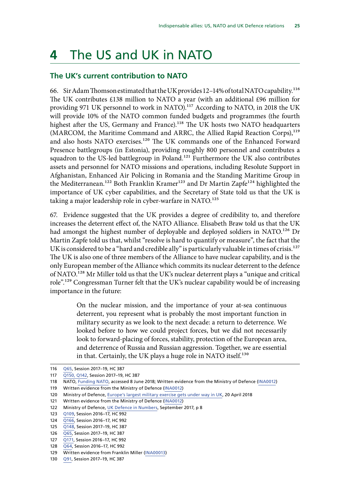# <span id="page-28-0"></span>**4** The US and UK in NATO

#### **The UK's current contribution to NATO**

66. Sir Adam Thomson estimated that the UK provides 12–14% of total NATO capability.116 The UK contributes £138 million to NATO a year (with an additional £96 million for providing 971 UK personnel to work in NATO).<sup>117</sup> According to NATO, in 2018 the UK will provide 10% of the NATO common funded budgets and programmes (the fourth highest after the US, Germany and France).<sup>118</sup> The UK hosts two NATO headquarters (MARCOM, the Maritime Command and ARRC, the Allied Rapid Reaction Corps),<sup>119</sup> and also hosts NATO exercises.<sup>120</sup> The UK commands one of the Enhanced Forward Presence battlegroups (in Estonia), providing roughly 800 personnel and contributes a squadron to the US-led battlegroup in Poland.<sup>121</sup> Furthermore the UK also contributes assets and personnel for NATO missions and operations, including Resolute Support in Afghanistan, Enhanced Air Policing in Romania and the Standing Maritime Group in the Mediterranean.<sup>122</sup> Both Franklin Kramer<sup>123</sup> and Dr Martin Zapfe<sup>124</sup> highlighted the importance of UK cyber capabilities, and the Secretary of State told us that the UK is taking a major leadership role in cyber-warfare in NATO.<sup>125</sup>

67. Evidence suggested that the UK provides a degree of credibility to, and therefore increases the deterrent effect of, the NATO Alliance. Elisabeth Braw told us that the UK had amongst the highest number of deployable and deployed soldiers in NATO.<sup>126</sup> Dr Martin Zapfe told us that, whilst "resolve is hard to quantify or measure", the fact that the UK is considered to be a "hard and credible ally" is particularly valuable in times of crisis.<sup>127</sup> The UK is also one of three members of the Alliance to have nuclear capability, and is the only European member of the Alliance which commits its nuclear deterrent to the defence of NATO.128 Mr Miller told us that the UK's nuclear deterrent plays a "unique and critical role".129 Congressman Turner felt that the UK's nuclear capability would be of increasing importance in the future:

> On the nuclear mission, and the importance of your at-sea continuous deterrent, you represent what is probably the most important function in military security as we look to the next decade: a return to deterrence. We looked before to how we could project forces, but we did not necessarily look to forward-placing of forces, stability, protection of the European area, and deterrence of Russia and Russian aggression. Together, we are essential in that. Certainly, the UK plays a huge role in NATO itself.<sup>130</sup>

127 [Q171](http://data.parliament.uk/writtenevidence/committeeevidence.svc/evidencedocument/defence-committee/the-indispensable-ally-us-nato-and-uk-defence-relations/oral/69005.html), Session 2016–17, HC 992

<sup>116</sup> [Q65](http://data.parliament.uk/writtenevidence/committeeevidence.svc/evidencedocument/defence-committee/the-indispensable-ally-us-nato-and-uk-defence-relations/oral/72419.html), Session 2017–19, HC 387

<sup>117</sup> [Q150, Q142](http://data.parliament.uk/writtenevidence/committeeevidence.svc/evidencedocument/defence-committee/the-indispensable-ally-us-nato-and-uk-defence-relations/oral/83311.html), Session 2017–19, HC 387

<sup>118</sup> NATO, [Funding NATO,](https://www.nato.int/cps/en/natohq/topics_67655.htm) accessed 8 June 2018; Written evidence from the Ministry of Defence ([INA0012](http://data.parliament.uk/writtenevidence/committeeevidence.svc/evidencedocument/defence-committee/the-indispensable-ally-us-nato-and-uk-defence-relations/written/48461.html))

<sup>119</sup> Written evidence from the Ministry of Defence ([INA0012\)](http://data.parliament.uk/writtenevidence/committeeevidence.svc/evidencedocument/defence-committee/the-indispensable-ally-us-nato-and-uk-defence-relations/written/48461.html)

<sup>120</sup> Ministry of Defence, [Europe's largest military exercise gets under way in UK](https://www.gov.uk/government/news/europes-largest-military-exercise-gets-under-way-in-uk), 20 April 2018

<sup>121</sup> Written evidence from the Ministry of Defence ([INA0012\)](http://data.parliament.uk/writtenevidence/committeeevidence.svc/evidencedocument/defence-committee/the-indispensable-ally-us-nato-and-uk-defence-relations/written/48461.html)

<sup>122</sup> Ministry of Defence, [UK Defence in Numbers,](https://assets.publishing.service.gov.uk/government/uploads/system/uploads/attachment_data/file/652915/UK_Defence_in_Numbers_2017_-_Update_17_Oct.pdf) September 2017, p 8

<sup>123</sup> [Q109](http://data.parliament.uk/writtenevidence/committeeevidence.svc/evidencedocument/defence-committee/the-indispensable-ally-us-nato-and-uk-defence-relations/oral/49473.html), Session 2016–17, HC 992

<sup>124</sup> [Q166](http://data.parliament.uk/writtenevidence/committeeevidence.svc/evidencedocument/defence-committee/the-indispensable-ally-us-nato-and-uk-defence-relations/oral/69005.html), Session 2016–17, HC 992

<sup>125</sup> [Q148](http://data.parliament.uk/writtenevidence/committeeevidence.svc/evidencedocument/defence-committee/the-indispensable-ally-us-nato-and-uk-defence-relations/oral/83311.html), Session 2017–19, HC 387

<sup>126</sup> [Q65](http://data.parliament.uk/writtenevidence/committeeevidence.svc/evidencedocument/defence-committee/the-indispensable-ally-us-nato-and-uk-defence-relations/oral/72419.html), Session 2017–19, HC 387

<sup>128</sup> [Q64,](http://data.parliament.uk/writtenevidence/committeeevidence.svc/evidencedocument/defence-committee/the-indispensable-ally-us-nato-and-uk-defence-relations/oral/48824.html) Session 2016–17, HC 992

<sup>129</sup> Written evidence from Franklin Miller ([INA00013](http://data.parliament.uk/writtenevidence/committeeevidence.svc/evidencedocument/defence-committee/the-indispensable-ally-us-nato-and-uk-defence-relations/written/48546.html))

<sup>130</sup> [Q91,](http://data.parliament.uk/writtenevidence/committeeevidence.svc/evidencedocument/defence-committee/the-indispensable-ally-us-nato-and-uk-defence-relations/oral/79792.html) Session 2017–19, HC 387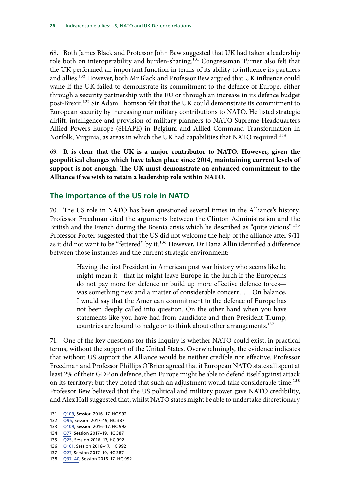<span id="page-29-0"></span>68. Both James Black and Professor John Bew suggested that UK had taken a leadership role both on interoperability and burden-sharing.<sup>131</sup> Congressman Turner also felt that the UK performed an important function in terms of its ability to influence its partners and allies.132 However, both Mr Black and Professor Bew argued that UK influence could wane if the UK failed to demonstrate its commitment to the defence of Europe, either through a security partnership with the EU or through an increase in its defence budget post-Brexit.133 Sir Adam Thomson felt that the UK could demonstrate its commitment to European security by increasing our military contributions to NATO. He listed strategic airlift, intelligence and provision of military planners to NATO Supreme Headquarters Allied Powers Europe (SHAPE) in Belgium and Allied Command Transformation in Norfolk, Virginia, as areas in which the UK had capabilities that NATO required.<sup>134</sup>

69. **It is clear that the UK is a major contributor to NATO. However, given the geopolitical changes which have taken place since 2014, maintaining current levels of support is not enough. The UK must demonstrate an enhanced commitment to the Alliance if we wish to retain a leadership role within NATO.**

#### **The importance of the US role in NATO**

70. The US role in NATO has been questioned several times in the Alliance's history. Professor Freedman cited the arguments between the Clinton Administration and the British and the French during the Bosnia crisis which he described as "quite vicious".<sup>135</sup> Professor Porter suggested that the US did not welcome the help of the alliance after 9/11 as it did not want to be "fettered" by it.<sup>136</sup> However, Dr Dana Allin identified a difference between those instances and the current strategic environment:

> Having the first President in American post war history who seems like he might mean it—that he might leave Europe in the lurch if the Europeans do not pay more for defence or build up more effective defence forces was something new and a matter of considerable concern. … On balance, I would say that the American commitment to the defence of Europe has not been deeply called into question. On the other hand when you have statements like you have had from candidate and then President Trump, countries are bound to hedge or to think about other arrangements.<sup>137</sup>

71. One of the key questions for this inquiry is whether NATO could exist, in practical terms, without the support of the United States. Overwhelmingly, the evidence indicates that without US support the Alliance would be neither credible nor effective. Professor Freedman and Professor Phillips O'Brien agreed that if European NATO states all spent at least 2% of their GDP on defence, then Europe might be able to defend itself against attack on its territory; but they noted that such an adjustment would take considerable time.<sup>138</sup> Professor Bew believed that the US political and military power gave NATO credibility, and Alex Hall suggested that, whilst NATO states might be able to undertake discretionary

<sup>131</sup> [Q109](http://data.parliament.uk/writtenevidence/committeeevidence.svc/evidencedocument/defence-committee/the-indispensable-ally-us-nato-and-uk-defence-relations/oral/49473.html), Session 2016–17, HC 992

<sup>132 096,</sup> Session 2017-19, HC 387

<sup>133</sup> [Q109](http://data.parliament.uk/writtenevidence/committeeevidence.svc/evidencedocument/defence-committee/the-indispensable-ally-us-nato-and-uk-defence-relations/oral/49473.html), Session 2016–17, HC 992

<sup>134</sup> [Q77](http://data.parliament.uk/writtenevidence/committeeevidence.svc/evidencedocument/defence-committee/the-indispensable-ally-us-nato-and-uk-defence-relations/oral/72419.html), Session 2017-19, HC 387

<sup>135</sup> [Q25](http://data.parliament.uk/writtenevidence/committeeevidence.svc/evidencedocument/defence-committee/the-indispensable-ally-us-nato-and-uk-defence-relations/oral/71160.html), Session 2016–17, HC 992

<sup>136</sup> [Q161](http://data.parliament.uk/writtenevidence/committeeevidence.svc/evidencedocument/defence-committee/the-indispensable-ally-us-nato-and-uk-defence-relations/oral/69005.html), Session 2016–17, HC 992

<sup>137</sup> [Q27](http://data.parliament.uk/writtenevidence/committeeevidence.svc/evidencedocument/defence-committee/the-indispensable-ally-us-nato-and-uk-defence-relations/oral/71160.html), Session 2017–19, HC 387

<sup>138</sup> [Q37–40,](http://data.parliament.uk/writtenevidence/committeeevidence.svc/evidencedocument/defence-committee/the-indispensable-ally-us-nato-and-uk-defence-relations/oral/48824.html) Session 2016–17, HC 992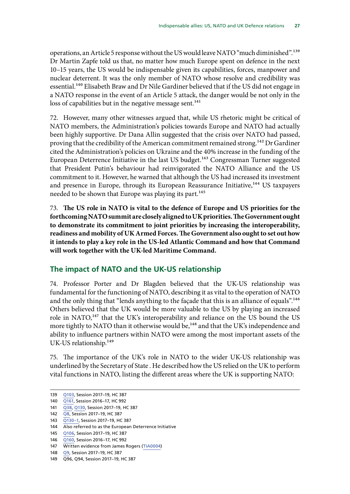<span id="page-30-0"></span>operations, an Article 5 response without the US would leave NATO "much diminished".<sup>139</sup> Dr Martin Zapfe told us that, no matter how much Europe spent on defence in the next 10–15 years, the US would be indispensable given its capabilities, forces, manpower and nuclear deterrent. It was the only member of NATO whose resolve and credibility was essential.<sup>140</sup> Elisabeth Braw and Dr Nile Gardiner believed that if the US did not engage in a NATO response in the event of an Article 5 attack, the danger would be not only in the loss of capabilities but in the negative message sent.<sup>141</sup>

72. However, many other witnesses argued that, while US rhetoric might be critical of NATO members, the Administration's policies towards Europe and NATO had actually been highly supportive. Dr Dana Allin suggested that the crisis over NATO had passed, proving that the credibility of the American commitment remained strong.<sup>142</sup> Dr Gardiner cited the Administration's policies on Ukraine and the 40% increase in the funding of the European Deterrence Initiative in the last US budget.<sup>143</sup> Congressman Turner suggested that President Putin's behaviour had reinvigorated the NATO Alliance and the US commitment to it. However, he warned that although the US had increased its investment and presence in Europe, through its European Reassurance Initiative,<sup>144</sup> US taxpayers needed to be shown that Europe was playing its part.<sup>145</sup>

73. **The US role in NATO is vital to the defence of Europe and US priorities for the forthcoming NATO summit are closely aligned to UK priorities. The Government ought to demonstrate its commitment to joint priorities by increasing the interoperability, readiness and mobility of UK Armed Forces. The Government also ought to set out how it intends to play a key role in the US-led Atlantic Command and how that Command will work together with the UK-led Maritime Command.**

#### **The impact of NATO and the UK-US relationship**

74. Professor Porter and Dr Blagden believed that the UK-US relationship was fundamental for the functioning of NATO, describing it as vital to the operation of NATO and the only thing that "lends anything to the façade that this is an alliance of equals".<sup>146</sup> Others believed that the UK would be more valuable to the US by playing an increased role in NATO,<sup>147</sup> that the UK's interoperability and reliance on the US bound the US more tightly to NATO than it otherwise would be,<sup>148</sup> and that the UK's independence and ability to influence partners within NATO were among the most important assets of the UK-US relationship.<sup>149</sup>

75. The importance of the UK's role in NATO to the wider UK-US relationship was underlined by the Secretary of State . He described how the US relied on the UK to perform vital functions in NATO, listing the different areas where the UK is supporting NATO:

<sup>139</sup> [Q103,](http://data.parliament.uk/writtenevidence/committeeevidence.svc/evidencedocument/defence-committee/the-indispensable-ally-us-nato-and-uk-defence-relations/oral/79792.html) Session 2017–19, HC 387

<sup>140</sup> [Q161](http://data.parliament.uk/writtenevidence/committeeevidence.svc/evidencedocument/defence-committee/the-indispensable-ally-us-nato-and-uk-defence-relations/oral/69005.html), Session 2016–17, HC 992

<sup>141</sup> [Q38](http://data.parliament.uk/writtenevidence/committeeevidence.svc/evidencedocument/defence-committee/the-indispensable-ally-us-nato-and-uk-defence-relations/oral/72419.html), [Q130,](http://data.parliament.uk/writtenevidence/committeeevidence.svc/evidencedocument/defence-committee/the-indispensable-ally-us-nato-and-uk-defence-relations/oral/79792.html) Session 2017–19, HC 387

<sup>142</sup> [Q8](http://data.parliament.uk/writtenevidence/committeeevidence.svc/evidencedocument/defence-committee/the-indispensable-ally-us-nato-and-uk-defence-relations/oral/71160.html), Session 2017–19, HC 387

<sup>143</sup> **O130–1, Session 2017–19, HC 387** 

<sup>144</sup> Also referred to as the European Deterrence Initiative

<sup>145</sup> [Q106](http://data.parliament.uk/writtenevidence/committeeevidence.svc/evidencedocument/defence-committee/the-indispensable-ally-us-nato-and-uk-defence-relations/oral/79792.html), Session 2017–19, HC 387

<sup>146</sup> [Q160](http://data.parliament.uk/writtenevidence/committeeevidence.svc/evidencedocument/defence-committee/the-indispensable-ally-us-nato-and-uk-defence-relations/oral/69005.html), Session 2016–17, HC 992

<sup>147</sup> Written evidence from James Rogers ([TIA0004](http://data.parliament.uk/writtenevidence/committeeevidence.svc/evidencedocument/defence-committee/the-indispensable-ally-us-nato-and-uk-defence-relations/written/76666.html))

<sup>148</sup> [Q9,](http://data.parliament.uk/writtenevidence/committeeevidence.svc/evidencedocument/defence-committee/the-indispensable-ally-us-nato-and-uk-defence-relations/oral/71160.html) Session 2017–19, HC 387

<sup>149</sup> Q96, Q94, Session 2017–19, HC 387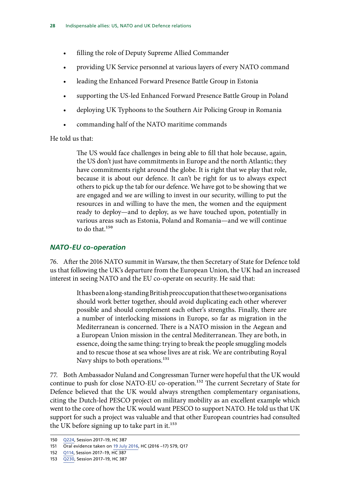- <span id="page-31-0"></span>filling the role of Deputy Supreme Allied Commander
- providing UK Service personnel at various layers of every NATO command
- leading the Enhanced Forward Presence Battle Group in Estonia
- supporting the US-led Enhanced Forward Presence Battle Group in Poland
- deploying UK Typhoons to the Southern Air Policing Group in Romania
- commanding half of the NATO maritime commands

He told us that:

The US would face challenges in being able to fill that hole because, again, the US don't just have commitments in Europe and the north Atlantic; they have commitments right around the globe. It is right that we play that role, because it is about our defence. It can't be right for us to always expect others to pick up the tab for our defence. We have got to be showing that we are engaged and we are willing to invest in our security, willing to put the resources in and willing to have the men, the women and the equipment ready to deploy—and to deploy, as we have touched upon, potentially in various areas such as Estonia, Poland and Romania—and we will continue to do that.150

#### *NATO-EU co-operation*

76. After the 2016 NATO summit in Warsaw, the then Secretary of State for Defence told us that following the UK's departure from the European Union, the UK had an increased interest in seeing NATO and the EU co-operate on security. He said that:

> It has been a long-standing British preoccupation that these two organisations should work better together, should avoid duplicating each other wherever possible and should complement each other's strengths. Finally, there are a number of interlocking missions in Europe, so far as migration in the Mediterranean is concerned. There is a NATO mission in the Aegean and a European Union mission in the central Mediterranean. They are both, in essence, doing the same thing: trying to break the people smuggling models and to rescue those at sea whose lives are at risk. We are contributing Royal Navy ships to both operations.<sup>151</sup>

77. Both Ambassador Nuland and Congressman Turner were hopeful that the UK would continue to push for close NATO-EU co-operation.<sup>152</sup> The current Secretary of State for Defence believed that the UK would always strengthen complementary organisations, citing the Dutch-led PESCO project on military mobility as an excellent example which went to the core of how the UK would want PESCO to support NATO. He told us that UK support for such a project was valuable and that other European countries had consulted the UK before signing up to take part in it.<sup>153</sup>

<sup>150</sup> [Q224](http://data.parliament.uk/writtenevidence/committeeevidence.svc/evidencedocument/defence-committee/indispensable-allies-us-nato-and-uk-defence-relations/oral/83311.html), Session 2017–19, HC 387

<sup>151</sup> Oral evidence taken on [19 July 2016](http://www.parliament.uk/business/committees/committees-a-z/commons-select/defence-committee/inquiries/parliament-2015/warsaw-nato-summit-chilcot-16-17/), HC (2016 –17) 579, Q17

<sup>152</sup> [Q114](http://data.parliament.uk/writtenevidence/committeeevidence.svc/evidencedocument/defence-committee/the-indispensable-ally-us-nato-and-uk-defence-relations/oral/79792.html), Session 2017–19, HC 387

<sup>153</sup> [Q230](http://data.parliament.uk/writtenevidence/committeeevidence.svc/evidencedocument/defence-committee/the-indispensable-ally-us-nato-and-uk-defence-relations/oral/83311.html), Session 2017–19, HC 387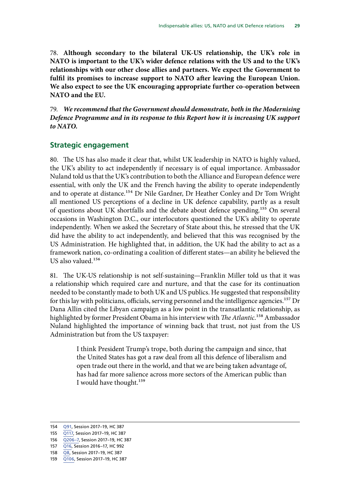<span id="page-32-0"></span>78. **Although secondary to the bilateral UK-US relationship, the UK's role in NATO is important to the UK's wider defence relations with the US and to the UK's relationships with our other close allies and partners. We expect the Government to fulfil its promises to increase support to NATO after leaving the European Union. We also expect to see the UK encouraging appropriate further co-operation between NATO and the EU.**

79. *We recommend that the Government should demonstrate, both in the Modernising Defence Programme and in its response to this Report how it is increasing UK support to NATO.*

#### **Strategic engagement**

80. The US has also made it clear that, whilst UK leadership in NATO is highly valued, the UK's ability to act independently if necessary is of equal importance. Ambassador Nuland told us that the UK's contribution to both the Alliance and European defence were essential, with only the UK and the French having the ability to operate independently and to operate at distance.154 Dr Nile Gardner, Dr Heather Conley and Dr Tom Wright all mentioned US perceptions of a decline in UK defence capability, partly as a result of questions about UK shortfalls and the debate about defence spending.<sup>155</sup> On several occasions in Washington D.C., our interlocutors questioned the UK's ability to operate independently. When we asked the Secretary of State about this, he stressed that the UK did have the ability to act independently, and believed that this was recognised by the US Administration. He highlighted that, in addition, the UK had the ability to act as a framework nation, co-ordinating a coalition of different states—an ability he believed the US also valued.<sup>156</sup>

81. The UK-US relationship is not self-sustaining—Franklin Miller told us that it was a relationship which required care and nurture, and that the case for its continuation needed to be constantly made to both UK and US publics. He suggested that responsibility for this lay with politicians, officials, serving personnel and the intelligence agencies.<sup>157</sup> Dr Dana Allin cited the Libyan campaign as a low point in the transatlantic relationship, as highlighted by former President Obama in his interview with *The Atlantic*.158 Ambassador Nuland highlighted the importance of winning back that trust, not just from the US Administration but from the US taxpayer:

> I think President Trump's trope, both during the campaign and since, that the United States has got a raw deal from all this defence of liberalism and open trade out there in the world, and that we are being taken advantage of, has had far more salience across more sectors of the American public than I would have thought.159

<sup>154</sup> [Q91,](http://data.parliament.uk/writtenevidence/committeeevidence.svc/evidencedocument/defence-committee/the-indispensable-ally-us-nato-and-uk-defence-relations/oral/79792.html) Session 2017–19, HC 387

<sup>155</sup> [Q117,](http://data.parliament.uk/writtenevidence/committeeevidence.svc/evidencedocument/defence-committee/the-indispensable-ally-us-nato-and-uk-defence-relations/oral/79792.html) Session 2017–19, HC 387

<sup>156</sup> [Q206–7](http://data.parliament.uk/writtenevidence/committeeevidence.svc/evidencedocument/defence-committee/the-indispensable-ally-us-nato-and-uk-defence-relations/oral/83311.html), Session 2017–19, HC 387

<sup>157</sup> [Q16,](http://data.parliament.uk/writtenevidence/committeeevidence.svc/evidencedocument/defence-committee/the-indispensable-ally-us-nato-and-uk-defence-relations/oral/48824.html) Session 2016–17, HC 992

<sup>158</sup> [Q8](http://data.parliament.uk/writtenevidence/committeeevidence.svc/evidencedocument/defence-committee/the-indispensable-ally-us-nato-and-uk-defence-relations/oral/71160.html), Session 2017–19, HC 387

<sup>159</sup> [Q106](http://data.parliament.uk/writtenevidence/committeeevidence.svc/evidencedocument/defence-committee/the-indispensable-ally-us-nato-and-uk-defence-relations/oral/79792.html), Session 2017–19, HC 387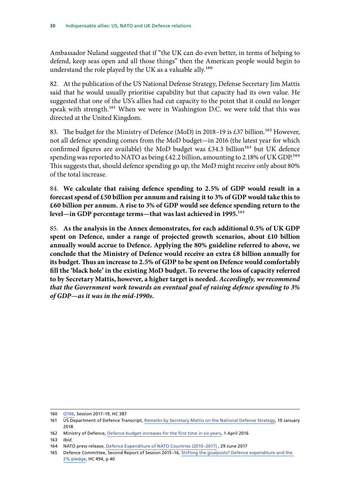Ambassador Nuland suggested that if "the UK can do even better, in terms of helping to defend, keep seas open and all those things" then the American people would begin to understand the role played by the UK as a valuable ally.<sup>160</sup>

82. At the publication of the US National Defense Strategy, Defense Secretary Jim Mattis said that he would usually prioritise capability but that capacity had its own value. He suggested that one of the US's allies had cut capacity to the point that it could no longer speak with strength.<sup>161</sup> When we were in Washington D.C. we were told that this was directed at the United Kingdom.

83. The budget for the Ministry of Defence (MoD) in 2018-19 is £37 billion.<sup>162</sup> However, not all defence spending comes from the MoD budget—in 2016 (the latest year for which confirmed figures are available) the MoD budget was £34.3 billion<sup>163</sup> but UK defence spending was reported to NATO as being £42.2 billion, amounting to 2.18% of UK GDP.<sup>164</sup> This suggests that, should defence spending go up, the MoD might receive only about 80% of the total increase.

84. **We calculate that raising defence spending to 2.5% of GDP would result in a forecast spend of £50 billion per annum and raising it to 3% of GDP would take this to £60 billion per annum. A rise to 3% of GDP would see defence spending return to the level—in GDP percentage terms—that was last achieved in 1995.**165

85. **As the analysis in the Annex demonstrates, for each additional 0.5% of UK GDP spent on Defence, under a range of projected growth scenarios, about £10 billion annually would accrue to Defence. Applying the 80% guideline referred to above, we conclude that the Ministry of Defence would receive an extra £8 billion annually for its budget. Thus an increase to 2.5% of GDP to be spent on Defence would comfortably fill the 'black hole' in the existing MoD budget. To reverse the loss of capacity referred to by Secretary Mattis, however, a higher target is needed.** *Accordingly, we recommend that the Government work towards an eventual goal of raising defence spending to 3% of GDP—as it was in the mid-1990s.*

<sup>160</sup> [Q106](http://data.parliament.uk/writtenevidence/committeeevidence.svc/evidencedocument/defence-committee/the-indispensable-ally-us-nato-and-uk-defence-relations/oral/79792.html), Session 2017–19, HC 387

<sup>161</sup> US Department of Defence Transcript, [Remarks by Secretary Mattis on the National Defense Strategy,](https://www.defense.gov/News/Transcripts/Transcript-View/Article/1420042/remarks-by-secretary-mattis-on-the-national-defense-strategy/) 19 January 2018

<sup>162</sup> Ministry of Defence, [Defence budget increases for the first time in six years](https://www.gov.uk/government/news/defence-budget-increases-for-the-first-time-in-six-years), 1 April 2016

<sup>163</sup> *Ibid*.

<sup>164</sup> NATO press release, [Defence Expenditure of NATO Countries \(2010–2017\)](https://www.nato.int/nato_static_fl2014/assets/pdf/pdf_2017_06/20170629_170629-pr2017-111-en.pdf) , 29 June 2017

<sup>165</sup> Defence Committee, Second Report of Session 2015–16, [Shifting the goalposts? Defence expenditure and the](https://publications.parliament.uk/pa/cm201516/cmselect/cmdfence/494/494.pdf)  [2% pledge](https://publications.parliament.uk/pa/cm201516/cmselect/cmdfence/494/494.pdf), HC 494, p 40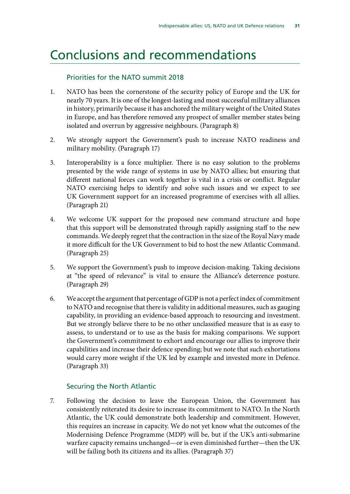### <span id="page-34-0"></span>Conclusions and recommendations

#### Priorities for the NATO summit 2018

- 1. NATO has been the cornerstone of the security policy of Europe and the UK for nearly 70 years. It is one of the longest-lasting and most successful military alliances in history, primarily because it has anchored the military weight of the United States in Europe, and has therefore removed any prospect of smaller member states being isolated and overrun by aggressive neighbours. (Paragraph 8)
- 2. We strongly support the Government's push to increase NATO readiness and military mobility. (Paragraph 17)
- 3. Interoperability is a force multiplier. There is no easy solution to the problems presented by the wide range of systems in use by NATO allies; but ensuring that different national forces can work together is vital in a crisis or conflict. Regular NATO exercising helps to identify and solve such issues and we expect to see UK Government support for an increased programme of exercises with all allies. (Paragraph 21)
- 4. We welcome UK support for the proposed new command structure and hope that this support will be demonstrated through rapidly assigning staff to the new commands. We deeply regret that the contraction in the size of the Royal Navy made it more difficult for the UK Government to bid to host the new Atlantic Command. (Paragraph 25)
- 5. We support the Government's push to improve decision-making. Taking decisions at "the speed of relevance" is vital to ensure the Alliance's deterrence posture. (Paragraph 29)
- 6. We accept the argument that percentage of GDP is not a perfect index of commitment to NATO and recognise that there is validity in additional measures, such as gauging capability, in providing an evidence-based approach to resourcing and investment. But we strongly believe there to be no other unclassified measure that is as easy to assess, to understand or to use as the basis for making comparisons. We support the Government's commitment to exhort and encourage our allies to improve their capabilities and increase their defence spending; but we note that such exhortations would carry more weight if the UK led by example and invested more in Defence. (Paragraph 33)

#### Securing the North Atlantic

7. Following the decision to leave the European Union, the Government has consistently reiterated its desire to increase its commitment to NATO. In the North Atlantic, the UK could demonstrate both leadership and commitment. However, this requires an increase in capacity. We do not yet know what the outcomes of the Modernising Defence Programme (MDP) will be, but if the UK's anti-submarine warfare capacity remains unchanged—or is even diminished further—then the UK will be failing both its citizens and its allies. (Paragraph 37)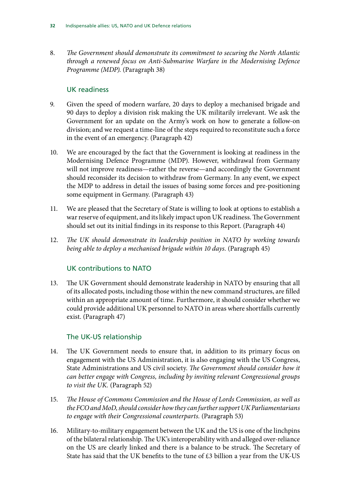8. *The Government should demonstrate its commitment to securing the North Atlantic through a renewed focus on Anti-Submarine Warfare in the Modernising Defence Programme (MDP).* (Paragraph 38)

#### UK readiness

- 9. Given the speed of modern warfare, 20 days to deploy a mechanised brigade and 90 days to deploy a division risk making the UK militarily irrelevant. We ask the Government for an update on the Army's work on how to generate a follow-on division; and we request a time-line of the steps required to reconstitute such a force in the event of an emergency. (Paragraph 42)
- 10. We are encouraged by the fact that the Government is looking at readiness in the Modernising Defence Programme (MDP). However, withdrawal from Germany will not improve readiness—rather the reverse—and accordingly the Government should reconsider its decision to withdraw from Germany. In any event, we expect the MDP to address in detail the issues of basing some forces and pre-positioning some equipment in Germany. (Paragraph 43)
- 11. We are pleased that the Secretary of State is willing to look at options to establish a war reserve of equipment, and its likely impact upon UK readiness. The Government should set out its initial findings in its response to this Report. (Paragraph 44)
- 12. *The UK should demonstrate its leadership position in NATO by working towards being able to deploy a mechanised brigade within 10 days.* (Paragraph 45)

#### UK contributions to NATO

13. The UK Government should demonstrate leadership in NATO by ensuring that all of its allocated posts, including those within the new command structures, are filled within an appropriate amount of time. Furthermore, it should consider whether we could provide additional UK personnel to NATO in areas where shortfalls currently exist. (Paragraph 47)

#### The UK-US relationship

- 14. The UK Government needs to ensure that, in addition to its primary focus on engagement with the US Administration, it is also engaging with the US Congress, State Administrations and US civil society. *The Government should consider how it can better engage with Congress, including by inviting relevant Congressional groups to visit the UK.* (Paragraph 52)
- 15. *The House of Commons Commission and the House of Lords Commission, as well as the FCO and MoD, should consider how they can further support UK Parliamentarians to engage with their Congressional counterparts.* (Paragraph 53)
- 16. Military-to-military engagement between the UK and the US is one of the linchpins of the bilateral relationship. The UK's interoperability with and alleged over-reliance on the US are clearly linked and there is a balance to be struck. The Secretary of State has said that the UK benefits to the tune of £3 billion a year from the UK-US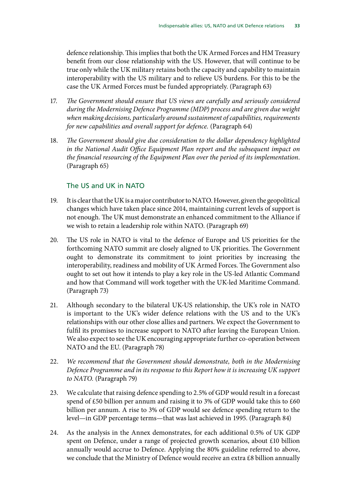defence relationship. This implies that both the UK Armed Forces and HM Treasury benefit from our close relationship with the US. However, that will continue to be true only while the UK military retains both the capacity and capability to maintain interoperability with the US military and to relieve US burdens. For this to be the case the UK Armed Forces must be funded appropriately. (Paragraph 63)

- 17. *The Government should ensure that US views are carefully and seriously considered during the Modernising Defence Programme (MDP) process and are given due weight when making decisions, particularly around sustainment of capabilities, requirements for new capabilities and overall support for defence.* (Paragraph 64)
- 18. *The Government should give due consideration to the dollar dependency highlighted in the National Audit Office Equipment Plan report and the subsequent impact on the financial resourcing of the Equipment Plan over the period of its implementation*. (Paragraph 65)

#### The US and UK in NATO

- 19. It is clear that the UK is a major contributor to NATO. However, given the geopolitical changes which have taken place since 2014, maintaining current levels of support is not enough. The UK must demonstrate an enhanced commitment to the Alliance if we wish to retain a leadership role within NATO. (Paragraph 69)
- 20. The US role in NATO is vital to the defence of Europe and US priorities for the forthcoming NATO summit are closely aligned to UK priorities. The Government ought to demonstrate its commitment to joint priorities by increasing the interoperability, readiness and mobility of UK Armed Forces. The Government also ought to set out how it intends to play a key role in the US-led Atlantic Command and how that Command will work together with the UK-led Maritime Command. (Paragraph 73)
- 21. Although secondary to the bilateral UK-US relationship, the UK's role in NATO is important to the UK's wider defence relations with the US and to the UK's relationships with our other close allies and partners. We expect the Government to fulfil its promises to increase support to NATO after leaving the European Union. We also expect to see the UK encouraging appropriate further co-operation between NATO and the EU. (Paragraph 78)
- 22. *We recommend that the Government should demonstrate, both in the Modernising Defence Programme and in its response to this Report how it is increasing UK support to NATO.* (Paragraph 79)
- 23. We calculate that raising defence spending to 2.5% of GDP would result in a forecast spend of £50 billion per annum and raising it to 3% of GDP would take this to £60 billion per annum. A rise to 3% of GDP would see defence spending return to the level—in GDP percentage terms—that was last achieved in 1995. (Paragraph 84)
- 24. As the analysis in the Annex demonstrates, for each additional 0.5% of UK GDP spent on Defence, under a range of projected growth scenarios, about £10 billion annually would accrue to Defence. Applying the 80% guideline referred to above, we conclude that the Ministry of Defence would receive an extra £8 billion annually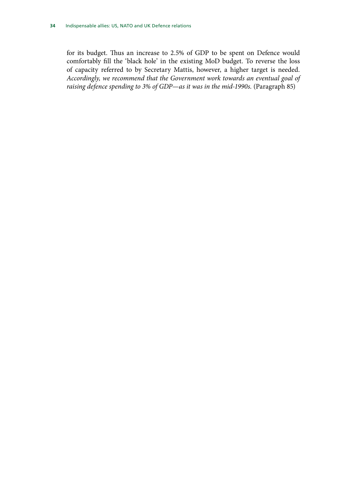for its budget. Thus an increase to 2.5% of GDP to be spent on Defence would comfortably fill the 'black hole' in the existing MoD budget. To reverse the loss of capacity referred to by Secretary Mattis, however, a higher target is needed. *Accordingly, we recommend that the Government work towards an eventual goal of raising defence spending to 3% of GDP—as it was in the mid-1990s.* (Paragraph 85)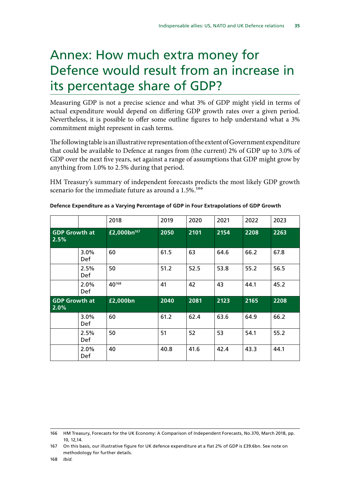# <span id="page-38-0"></span>Annex: How much extra money for Defence would result from an increase in its percentage share of GDP?

Measuring GDP is not a precise science and what 3% of GDP might yield in terms of actual expenditure would depend on differing GDP growth rates over a given period. Nevertheless, it is possible to offer some outline figures to help understand what a 3% commitment might represent in cash terms.

The following table is an illustrative representation of the extent of Government expenditure that could be available to Defence at ranges from (the current) 2% of GDP up to 3.0% of GDP over the next five years, set against a range of assumptions that GDP might grow by anything from 1.0% to 2.5% during that period.

HM Treasury's summary of independent forecasts predicts the most likely GDP growth scenario for the immediate future as around a  $1.5\%$ <sup>166</sup>

|                              |                       | 2018                    | 2019 | 2020 | 2021 | 2022 | 2023 |
|------------------------------|-----------------------|-------------------------|------|------|------|------|------|
| <b>GDP Growth at</b><br>2.5% |                       | £2,000bn <sup>167</sup> | 2050 | 2101 | 2154 | 2208 | 2263 |
|                              | $3.0\%$<br><b>Def</b> | 60                      | 61.5 | 63   | 64.6 | 66.2 | 67.8 |
|                              | 2.5%<br><b>Def</b>    | 50                      | 51.2 | 52.5 | 53.8 | 55.2 | 56.5 |
|                              | 2.0%<br><b>Def</b>    | 40168                   | 41   | 42   | 43   | 44.1 | 45.2 |
|                              |                       |                         |      |      |      |      |      |
| <b>GDP Growth at</b><br>2.0% |                       | £2,000bn                | 2040 | 2081 | 2123 | 2165 | 2208 |
|                              | 3.0%<br>Def.          | 60                      | 61.2 | 62.4 | 63.6 | 64.9 | 66.2 |
|                              | 2.5%<br><b>Def</b>    | 50                      | 51   | 52   | 53   | 54.1 | 55.2 |

|  |  | Defence Expenditure as a Varying Percentage of GDP in Four Extrapolations of GDP Growth |  |
|--|--|-----------------------------------------------------------------------------------------|--|
|  |  |                                                                                         |  |

<sup>166</sup> HM Treasury, Forecasts for the UK Economy: A Comparison of Independent Forecasts, No.370, March 2018, pp. 10, 12,14.

<sup>167</sup> On this basis, our illustrative figure for UK defence expenditure at a flat 2% of GDP is £39.6bn. See note on methodology for further details.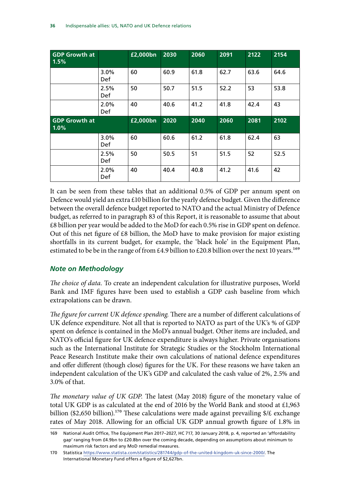<span id="page-39-0"></span>

| <b>GDP Growth at</b><br>1.5% |                | £2,000bn | 2030 | 2060 | 2091 | 2122 | 2154 |
|------------------------------|----------------|----------|------|------|------|------|------|
|                              | $3.0\%$<br>Def | 60       | 60.9 | 61.8 | 62.7 | 63.6 | 64.6 |
|                              | 2.5%<br>Def    | 50       | 50.7 | 51.5 | 52.2 | 53   | 53.8 |
|                              | 2.0%<br>Def    | 40       | 40.6 | 41.2 | 41.8 | 42.4 | 43   |
|                              |                |          |      |      |      |      |      |
| <b>GDP Growth at</b><br>1.0% |                | £2,000bn | 2020 | 2040 | 2060 | 2081 | 2102 |
|                              | 3.0%<br>Def    | 60       | 60.6 | 61.2 | 61.8 | 62.4 | 63   |
|                              | 2.5%<br>Def    | 50       | 50.5 | 51   | 51.5 | 52   | 52.5 |

It can be seen from these tables that an additional 0.5% of GDP per annum spent on Defence would yield an extra £10 billion for the yearly defence budget. Given the difference between the overall defence budget reported to NATO and the actual Ministry of Defence budget, as referred to in paragraph 83 of this Report, it is reasonable to assume that about £8 billion per year would be added to the MoD for each 0.5% rise in GDP spent on defence. Out of this net figure of  $£8$  billion, the MoD have to make provision for major existing shortfalls in its current budget, for example, the 'black hole' in the Equipment Plan, estimated to be be in the range of from £4.9 billion to £20.8 billion over the next 10 years.<sup>169</sup>

#### *Note on Methodology*

*The choice of data.* To create an independent calculation for illustrative purposes, World Bank and IMF figures have been used to establish a GDP cash baseline from which extrapolations can be drawn.

*The figure for current UK defence spending.* There are a number of different calculations of UK defence expenditure. Not all that is reported to NATO as part of the UK's % of GDP spent on defence is contained in the MoD's annual budget. Other items are included, and NATO's official figure for UK defence expenditure is always higher. Private organisations such as the International Institute for Strategic Studies or the Stockholm International Peace Research Institute make their own calculations of national defence expenditures and offer different (though close) figures for the UK. For these reasons we have taken an independent calculation of the UK's GDP and calculated the cash value of 2%, 2.5% and 3.0% of that.

*The monetary value of UK GDP.* The latest (May 2018) figure of the monetary value of total UK GDP is as calculated at the end of 2016 by the World Bank and stood at £1,963 billion (\$2,650 billion).<sup>170</sup> These calculations were made against prevailing  $\frac{1}{2}$  exchange rates of May 2018. Allowing for an official UK GDP annual growth figure of 1.8% in

<sup>169</sup> National Audit Office, The Equipment Plan 2017–2027, HC 717, 30 January 2018, p. 4, reported an 'affordability gap' ranging from £4.9bn to £20.8bn over the coming decade, depending on assumptions about minimum to maximum risk factors and any MoD remedial measures.

<sup>170</sup> Statistica<https://www.statista.com/statistics/281744/gdp-of-the-united-kingdom-uk-since-2000/>. The International Monetary Fund offers a figure of \$2,627bn.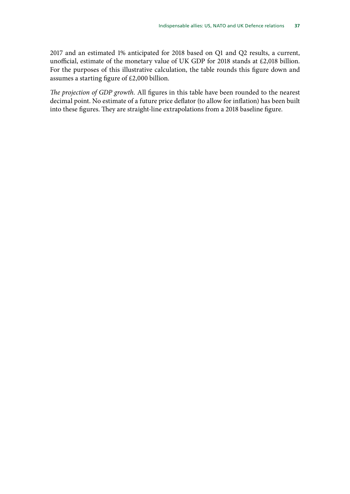2017 and an estimated 1% anticipated for 2018 based on Q1 and Q2 results, a current, unofficial, estimate of the monetary value of UK GDP for 2018 stands at £2,018 billion. For the purposes of this illustrative calculation, the table rounds this figure down and assumes a starting figure of £2,000 billion.

*The projection of GDP growth.* All figures in this table have been rounded to the nearest decimal point. No estimate of a future price deflator (to allow for inflation) has been built into these figures. They are straight-line extrapolations from a 2018 baseline figure.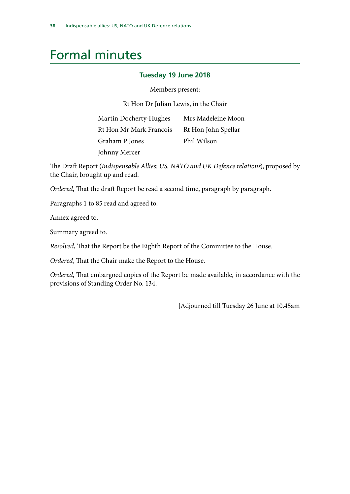### <span id="page-41-0"></span>Formal minutes

#### **Tuesday 19 June 2018**

Members present:

Rt Hon Dr Julian Lewis, in the Chair

| Martin Docherty-Hughes  | Mrs Madeleine Moon  |
|-------------------------|---------------------|
| Rt Hon Mr Mark Francois | Rt Hon John Spellar |
| Graham P Jones          | Phil Wilson         |
| Johnny Mercer           |                     |

The Draft Report (*Indispensable Allies: US, NATO and UK Defence relations*), proposed by the Chair, brought up and read.

*Ordered*, That the draft Report be read a second time, paragraph by paragraph.

Paragraphs 1 to 85 read and agreed to.

Annex agreed to.

Summary agreed to.

*Resolved*, That the Report be the Eighth Report of the Committee to the House.

*Ordered*, That the Chair make the Report to the House.

*Ordered*, That embargoed copies of the Report be made available, in accordance with the provisions of Standing Order No. 134.

[Adjourned till Tuesday 26 June at 10.45am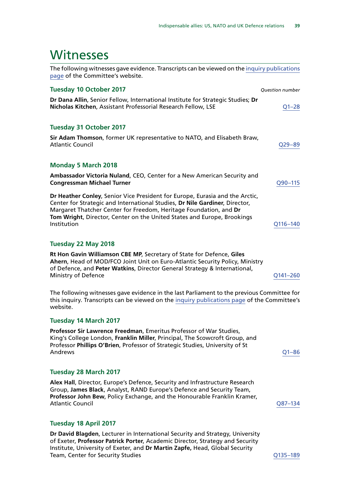### <span id="page-42-0"></span>**Witnesses**

| The following witnesses gave evidence. Transcripts can be viewed on the inquiry publications<br>page of the Committee's website.                                                                                                                                                                                           |                        |
|----------------------------------------------------------------------------------------------------------------------------------------------------------------------------------------------------------------------------------------------------------------------------------------------------------------------------|------------------------|
| <b>Tuesday 10 October 2017</b>                                                                                                                                                                                                                                                                                             | <b>Question number</b> |
| Dr Dana Allin, Senior Fellow, International Institute for Strategic Studies; Dr<br>Nicholas Kitchen, Assistant Professorial Research Fellow, LSE                                                                                                                                                                           | $Q1 - 28$              |
| <b>Tuesday 31 October 2017</b>                                                                                                                                                                                                                                                                                             |                        |
| Sir Adam Thomson, former UK representative to NATO, and Elisabeth Braw,<br><b>Atlantic Council</b>                                                                                                                                                                                                                         | $Q29 - 89$             |
| <b>Monday 5 March 2018</b>                                                                                                                                                                                                                                                                                                 |                        |
| Ambassador Victoria Nuland, CEO, Center for a New American Security and<br><b>Congressman Michael Turner</b>                                                                                                                                                                                                               | Q90-115                |
| Dr Heather Conley, Senior Vice President for Europe, Eurasia and the Arctic,<br>Center for Strategic and International Studies, Dr Nile Gardiner, Director,<br>Margaret Thatcher Center for Freedom, Heritage Foundation, and Dr<br>Tom Wright, Director, Center on the United States and Europe, Brookings<br>Institution | Q116-140               |
| Tuesday 22 May 2018                                                                                                                                                                                                                                                                                                        |                        |
| Rt Hon Gavin Williamson CBE MP, Secretary of State for Defence, Giles<br>Ahern, Head of MOD/FCO Joint Unit on Euro-Atlantic Security Policy, Ministry<br>of Defence, and Peter Watkins, Director General Strategy & International,<br>Ministry of Defence                                                                  | Q141-260               |
| The following witnesses gave evidence in the last Parliament to the previous Committee for<br>this inquiry. Transcripts can be viewed on the inquiry publications page of the Committee's<br>website.                                                                                                                      |                        |
| <b>Tuesday 14 March 2017</b>                                                                                                                                                                                                                                                                                               |                        |
| Professor Sir Lawrence Freedman, Emeritus Professor of War Studies,<br>King's College London, Franklin Miller, Principal, The Scourcest Group, and                                                                                                                                                                         |                        |

King's College London, **Franklin Miller**, Principal, The Scowcroft Group, and Professor **Phillips O'Brien**, Professor of Strategic Studies, University of St Andrews [Q1–86](http://data.parliament.uk/writtenevidence/committeeevidence.svc/evidencedocument/defence-committee/the-indispensable-ally-us-nato-and-uk-defence-relations/oral/48824.html)

#### **Tuesday 28 March 2017**

**Alex Hall**, Director, Europe's Defence, Security and Infrastructure Research Group, **James Black**, Analyst, RAND Europe's Defence and Security Team, **Professor John Bew**, Policy Exchange, and the Honourable Franklin Kramer, Atlantic Council and the council quality of the council of the council of the council of the council of the council of the council of the council of the council of the council of the council of the council of the council o

#### **Tuesday 18 April 2017**

**Dr David Blagden**, Lecturer in International Security and Strategy, University of Exeter, **Professor Patrick Porter**, Academic Director, Strategy and Security Institute, University of Exeter, and **Dr Martin Zapfe,** Head, Global Security Team, Center for Security Studies Communication Communication Communication COMES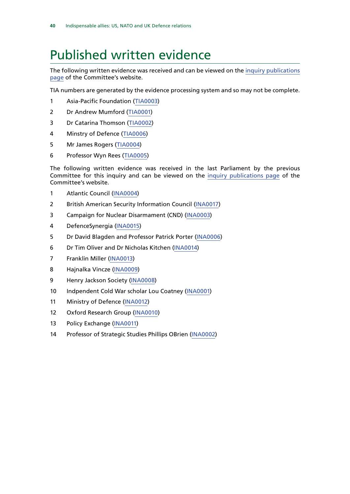### <span id="page-43-0"></span>Published written evidence

The following written evidence was received and can be viewed on the [inquiry publications](https://www.parliament.uk/business/committees/committees-a-z/commons-select/defence-committee/inquiries/parliament-2017/us-nato-and-uk-defence-relations-17-19/publications/) [page](https://www.parliament.uk/business/committees/committees-a-z/commons-select/defence-committee/inquiries/parliament-2017/us-nato-and-uk-defence-relations-17-19/publications/) of the Committee's website.

TIA numbers are generated by the evidence processing system and so may not be complete.

- Asia-Pacific Foundation ([TIA0003](http://data.parliament.uk/WrittenEvidence/CommitteeEvidence.svc/EvidenceDocument/Defence/The%20indispensable%20ally%20US,%20NATO%20and%20UK%20Defence%20relations/written/73971.html))
- Dr Andrew Mumford ([TIA0001](http://data.parliament.uk/WrittenEvidence/CommitteeEvidence.svc/EvidenceDocument/Defence/The%20indispensable%20ally%20US,%20NATO%20and%20UK%20Defence%20relations/written/71371.html))
- Dr Catarina Thomson ([TIA0002\)](http://data.parliament.uk/WrittenEvidence/CommitteeEvidence.svc/EvidenceDocument/Defence/The%20indispensable%20ally%20US,%20NATO%20and%20UK%20Defence%20relations/written/71819.html)
- Minstry of Defence ([TIA0006](http://data.parliament.uk/WrittenEvidence/CommitteeEvidence.svc/EvidenceDocument/Defence/The%20indispensable%20ally%20US,%20NATO%20and%20UK%20Defence%20relations/written/84588.html))
- Mr James Rogers ([TIA0004\)](http://data.parliament.uk/WrittenEvidence/CommitteeEvidence.svc/EvidenceDocument/Defence/The%20indispensable%20ally%20US,%20NATO%20and%20UK%20Defence%20relations/written/76666.html)
- Professor Wyn Rees [\(TIA0005](http://data.parliament.uk/WrittenEvidence/CommitteeEvidence.svc/EvidenceDocument/Defence/The%20indispensable%20ally%20US,%20NATO%20and%20UK%20Defence%20relations/written/80573.html))

The following written evidence was received in the last Parliament by the previous Committee for this inquiry and can be viewed on the [inquiry publications page](https://www.parliament.uk/business/committees/committees-a-z/commons-select/defence-committee/inquiries/parliament-2015/inquiry5/publications/) of the Committee's website.

- Atlantic Council [\(INA0004](http://data.parliament.uk/WrittenEvidence/CommitteeEvidence.svc/EvidenceDocument/Defence/The%20indispensable%20ally%20US,%20NATO%20and%20UK%20defence%20relations/written/48079.html))
- British American Security Information Council ([INA0017\)](http://data.parliament.uk/WrittenEvidence/CommitteeEvidence.svc/EvidenceDocument/Defence/The%20indispensable%20ally%20US,%20NATO%20and%20UK%20defence%20relations/written/49506.html)
- Campaign for Nuclear Disarmament (CND) [\(INA0003](http://data.parliament.uk/WrittenEvidence/CommitteeEvidence.svc/EvidenceDocument/Defence/The%20indispensable%20ally%20US,%20NATO%20and%20UK%20defence%20relations/written/47442.html))
- DefenceSynergia [\(INA0015](http://data.parliament.uk/WrittenEvidence/CommitteeEvidence.svc/EvidenceDocument/Defence/The%20indispensable%20ally%20US,%20NATO%20and%20UK%20defence%20relations/written/49186.html))
- Dr David Blagden and Professor Patrick Porter ([INA0006](http://data.parliament.uk/WrittenEvidence/CommitteeEvidence.svc/EvidenceDocument/Defence/The%20indispensable%20ally%20US,%20NATO%20and%20UK%20defence%20relations/written/48325.html))
- Dr Tim Oliver and Dr Nicholas Kitchen [\(INA0014](http://data.parliament.uk/WrittenEvidence/CommitteeEvidence.svc/EvidenceDocument/Defence/The%20indispensable%20ally%20US,%20NATO%20and%20UK%20defence%20relations/written/48569.html))
- Franklin Miller ([INA0013\)](http://data.parliament.uk/WrittenEvidence/CommitteeEvidence.svc/EvidenceDocument/Defence/The%20indispensable%20ally%20US,%20NATO%20and%20UK%20defence%20relations/written/48546.html)
- Hajnalka Vincze [\(INA0009](http://data.parliament.uk/WrittenEvidence/CommitteeEvidence.svc/EvidenceDocument/Defence/The%20indispensable%20ally%20US,%20NATO%20and%20UK%20defence%20relations/written/48379.html))
- Henry Jackson Society ([INA0008](http://data.parliament.uk/WrittenEvidence/CommitteeEvidence.svc/EvidenceDocument/Defence/The%20indispensable%20ally%20US,%20NATO%20and%20UK%20defence%20relations/written/48356.html))
- Indpendent Cold War scholar Lou Coatney [\(INA0001\)](http://data.parliament.uk/WrittenEvidence/CommitteeEvidence.svc/EvidenceDocument/Defence/The%20indispensable%20ally%20US,%20NATO%20and%20UK%20defence%20relations/written/46206.html)
- Ministry of Defence [\(INA0012\)](http://data.parliament.uk/WrittenEvidence/CommitteeEvidence.svc/EvidenceDocument/Defence/The%20indispensable%20ally%20US,%20NATO%20and%20UK%20defence%20relations/written/48461.html)
- Oxford Research Group [\(INA0010](http://data.parliament.uk/WrittenEvidence/CommitteeEvidence.svc/EvidenceDocument/Defence/The%20indispensable%20ally%20US,%20NATO%20and%20UK%20defence%20relations/written/48380.html))
- Policy Exchange ([INA0011](http://data.parliament.uk/WrittenEvidence/CommitteeEvidence.svc/EvidenceDocument/Defence/The%20indispensable%20ally%20US,%20NATO%20and%20UK%20defence%20relations/written/48422.html))
- Professor of Strategic Studies Phillips OBrien ([INA0002\)](http://data.parliament.uk/WrittenEvidence/CommitteeEvidence.svc/EvidenceDocument/Defence/The%20indispensable%20ally%20US,%20NATO%20and%20UK%20defence%20relations/written/46244.html)